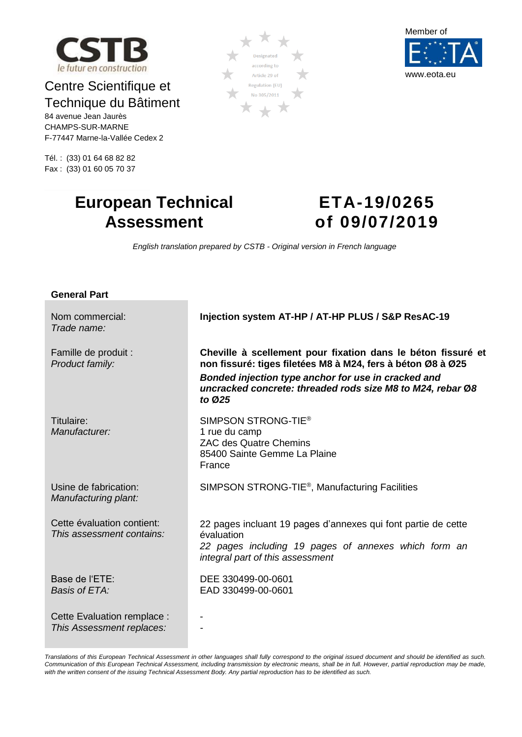

## Centre Scientifique et Technique du Bâtiment

84 avenue Jean Jaurès CHAMPS-SUR-MARNE F-77447 Marne-la-Vallée Cedex 2

Tél. : (33) 01 64 68 82 82 Fax : (33) 01 60 05 70 37





## **European Technical Assessment**

# <span id="page-0-1"></span><span id="page-0-0"></span>**ETA-19/0265 of 09/07/2019**

*English translation prepared by CSTB - Original version in French language*

| <b>General Part</b>                                      |                                                                                                                                                                                                                                                            |
|----------------------------------------------------------|------------------------------------------------------------------------------------------------------------------------------------------------------------------------------------------------------------------------------------------------------------|
| Nom commercial:<br>Trade name:                           | Injection system AT-HP / AT-HP PLUS / S&P ResAC-19                                                                                                                                                                                                         |
| Famille de produit :<br>Product family:                  | Cheville à scellement pour fixation dans le béton fissuré et<br>non fissuré: tiges filetées M8 à M24, fers à béton Ø8 à Ø25<br>Bonded injection type anchor for use in cracked and<br>uncracked concrete: threaded rods size M8 to M24, rebar Ø8<br>to Ø25 |
| Titulaire:<br>Manufacturer:                              | SIMPSON STRONG-TIE <sup>®</sup><br>1 rue du camp<br><b>ZAC des Quatre Chemins</b><br>85400 Sainte Gemme La Plaine<br>France                                                                                                                                |
| Usine de fabrication:<br>Manufacturing plant:            | SIMPSON STRONG-TIE <sup>®</sup> , Manufacturing Facilities                                                                                                                                                                                                 |
| Cette évaluation contient:<br>This assessment contains:  | 22 pages incluant 19 pages d'annexes qui font partie de cette<br>évaluation<br>22 pages including 19 pages of annexes which form an<br>integral part of this assessment                                                                                    |
| Base de l'ETE:<br>Basis of ETA:                          | DEE 330499-00-0601<br>EAD 330499-00-0601                                                                                                                                                                                                                   |
| Cette Evaluation remplace :<br>This Assessment replaces: |                                                                                                                                                                                                                                                            |

*Translations of this European Technical Assessment in other languages shall fully correspond to the original issued document and should be identified as such. Communication of this European Technical Assessment, including transmission by electronic means, shall be in full. However, partial reproduction may be made, with the written consent of the issuing Technical Assessment Body. Any partial reproduction has to be identified as such.*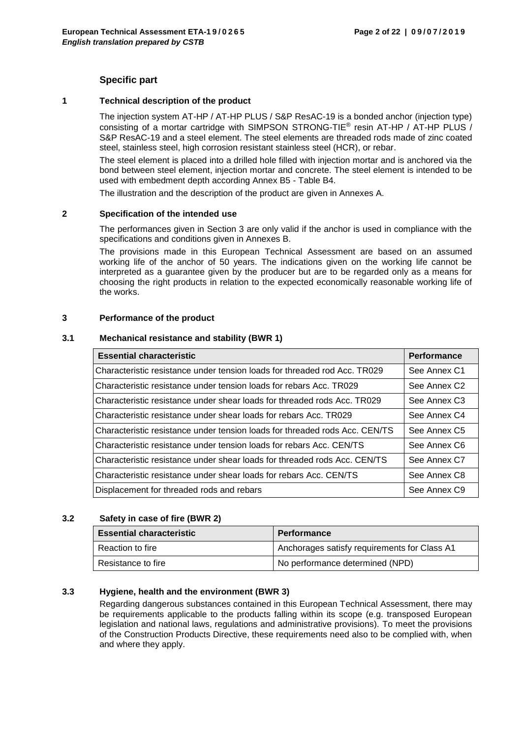## **Specific part**

#### **1 Technical description of the product**

The injection system AT-HP / AT-HP PLUS / S&P ResAC-19 is a bonded anchor (injection type) consisting of a mortar cartridge with SIMPSON STRONG-TIE® resin AT-HP / AT-HP PLUS / S&P ResAC-19 and a steel element. The steel elements are threaded rods made of zinc coated steel, stainless steel, high corrosion resistant stainless steel (HCR), or rebar.

The steel element is placed into a drilled hole filled with injection mortar and is anchored via the bond between steel element, injection mortar and concrete. The steel element is intended to be used with embedment depth according Annex B5 - Table B4.

The illustration and the description of the product are given in Annexes A.

#### **2 Specification of the intended use**

The performances given in Section 3 are only valid if the anchor is used in compliance with the specifications and conditions given in Annexes B.

The provisions made in this European Technical Assessment are based on an assumed working life of the anchor of 50 years. The indications given on the working life cannot be interpreted as a guarantee given by the producer but are to be regarded only as a means for choosing the right products in relation to the expected economically reasonable working life of the works.

#### **3 Performance of the product**

#### **3.1 Mechanical resistance and stability (BWR 1)**

| <b>Essential characteristic</b>                                             | <b>Performance</b>       |
|-----------------------------------------------------------------------------|--------------------------|
| Characteristic resistance under tension loads for threaded rod Acc. TR029   | See Annex C1             |
| Characteristic resistance under tension loads for rebars Acc. TR029         | See Annex C <sub>2</sub> |
| Characteristic resistance under shear loads for threaded rods Acc. TR029    | See Annex C <sub>3</sub> |
| Characteristic resistance under shear loads for rebars Acc. TR029           | See Annex C4             |
| Characteristic resistance under tension loads for threaded rods Acc. CEN/TS | See Annex C <sub>5</sub> |
| Characteristic resistance under tension loads for rebars Acc. CEN/TS        | See Annex C6             |
| Characteristic resistance under shear loads for threaded rods Acc. CEN/TS   | See Annex C7             |
| Characteristic resistance under shear loads for rebars Acc. CEN/TS          | See Annex C8             |
| Displacement for threaded rods and rebars                                   | See Annex C9             |

#### **3.2 Safety in case of fire (BWR 2)**

|                    | <b>Essential characteristic</b> | <b>Performance</b>                           |  |  |
|--------------------|---------------------------------|----------------------------------------------|--|--|
| Reaction to fire   |                                 | Anchorages satisfy requirements for Class A1 |  |  |
| Resistance to fire |                                 | No performance determined (NPD)              |  |  |

#### **3.3 Hygiene, health and the environment (BWR 3)**

Regarding dangerous substances contained in this European Technical Assessment, there may be requirements applicable to the products falling within its scope (e.g. transposed European legislation and national laws, regulations and administrative provisions). To meet the provisions of the Construction Products Directive, these requirements need also to be complied with, when and where they apply.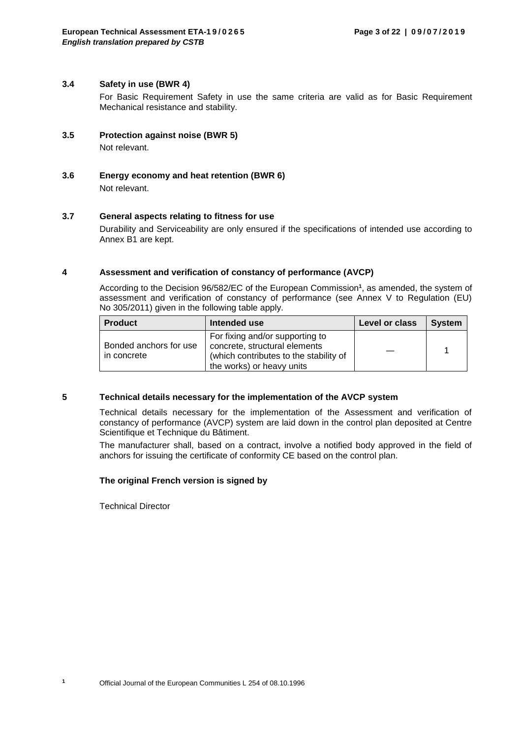#### **3.4 Safety in use (BWR 4)**

For Basic Requirement Safety in use the same criteria are valid as for Basic Requirement Mechanical resistance and stability.

- **3.5 Protection against noise (BWR 5)** Not relevant.
- **3.6 Energy economy and heat retention (BWR 6)** Not relevant.

#### **3.7 General aspects relating to fitness for use**

Durability and Serviceability are only ensured if the specifications of intended use according to Annex B1 are kept.

#### **4 Assessment and verification of constancy of performance (AVCP)**

According to the Decision 96/582/EC of the European Commission**<sup>1</sup>** , as amended, the system of assessment and verification of constancy of performance (see Annex V to Regulation (EU) No 305/2011) given in the following table apply.

| <b>Product</b><br>Intended use        |                                                                                                                                         | Level or class | <b>System</b> |
|---------------------------------------|-----------------------------------------------------------------------------------------------------------------------------------------|----------------|---------------|
| Bonded anchors for use<br>in concrete | For fixing and/or supporting to<br>concrete, structural elements<br>(which contributes to the stability of<br>the works) or heavy units |                |               |

#### **5 Technical details necessary for the implementation of the AVCP system**

Technical details necessary for the implementation of the Assessment and verification of constancy of performance (AVCP) system are laid down in the control plan deposited at Centre Scientifique et Technique du Bâtiment.

The manufacturer shall, based on a contract, involve a notified body approved in the field of anchors for issuing the certificate of conformity CE based on the control plan.

#### **The original French version is signed by**

Technical Director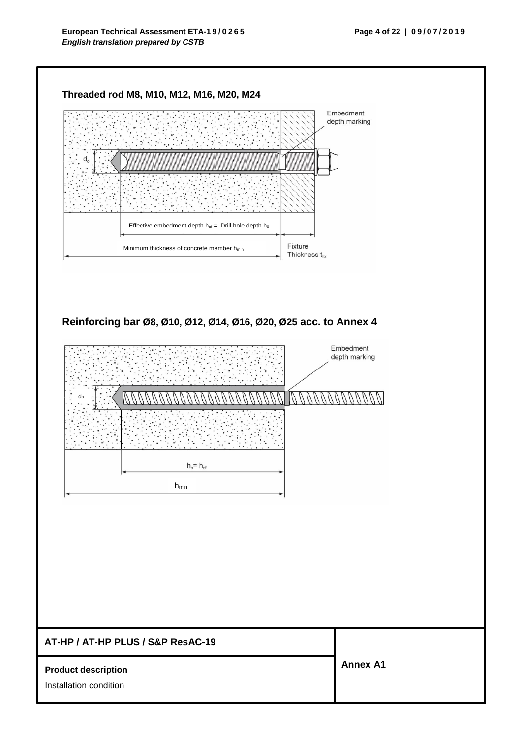



# **AT-HP / AT-HP PLUS / S&P ResAC-19 Product description**  Installation condition **Annex A1**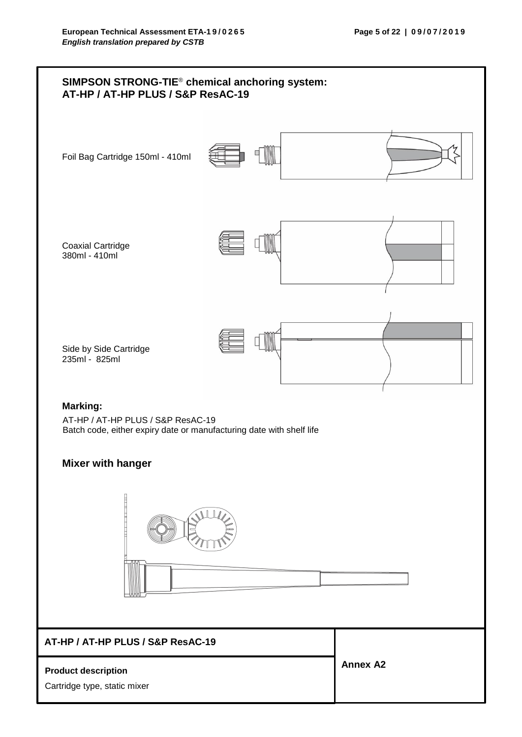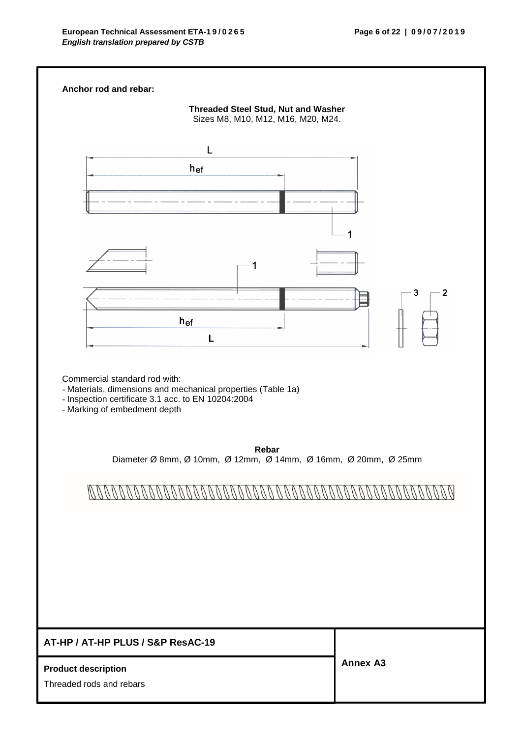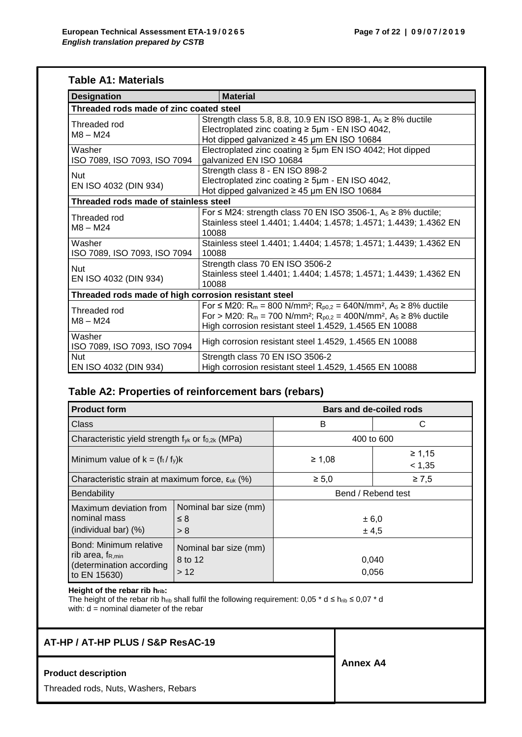## **Table A1: Materials**

| <b>Designation</b>                                   | <b>Material</b>                                                                                                                                                                                                                                                                                                    |  |  |  |  |  |
|------------------------------------------------------|--------------------------------------------------------------------------------------------------------------------------------------------------------------------------------------------------------------------------------------------------------------------------------------------------------------------|--|--|--|--|--|
| Threaded rods made of zinc coated steel              |                                                                                                                                                                                                                                                                                                                    |  |  |  |  |  |
| Threaded rod<br>$M8 - M24$                           | Strength class 5.8, 8.8, 10.9 EN ISO 898-1, $A_5 \ge 8\%$ ductile<br>Electroplated zinc coating $\geq$ 5µm - EN ISO 4042,<br>Hot dipped galvanized $\geq$ 45 µm EN ISO 10684                                                                                                                                       |  |  |  |  |  |
| Washer<br>ISO 7089, ISO 7093, ISO 7094               | Electroplated zinc coating $\geq$ 5µm EN ISO 4042; Hot dipped<br>galvanized EN ISO 10684                                                                                                                                                                                                                           |  |  |  |  |  |
| <b>Nut</b><br>EN ISO 4032 (DIN 934)                  | Strength class 8 - EN ISO 898-2<br>Electroplated zinc coating $\geq$ 5µm - EN ISO 4042,<br>Hot dipped galvanized $\geq$ 45 µm EN ISO 10684                                                                                                                                                                         |  |  |  |  |  |
| Threaded rods made of stainless steel                |                                                                                                                                                                                                                                                                                                                    |  |  |  |  |  |
| Threaded rod<br>$M8 - M24$                           | For $\leq$ M24: strength class 70 EN ISO 3506-1, A <sub>5</sub> $\geq$ 8% ductile;<br>Stainless steel 1.4401; 1.4404; 1.4578; 1.4571; 1.4439; 1.4362 EN<br>10088                                                                                                                                                   |  |  |  |  |  |
| Washer<br>ISO 7089, ISO 7093, ISO 7094               | Stainless steel 1.4401; 1.4404; 1.4578; 1.4571; 1.4439; 1.4362 EN<br>10088                                                                                                                                                                                                                                         |  |  |  |  |  |
| <b>Nut</b><br>EN ISO 4032 (DIN 934)                  | Strength class 70 EN ISO 3506-2<br>Stainless steel 1.4401; 1.4404; 1.4578; 1.4571; 1.4439; 1.4362 EN<br>10088                                                                                                                                                                                                      |  |  |  |  |  |
| Threaded rods made of high corrosion resistant steel |                                                                                                                                                                                                                                                                                                                    |  |  |  |  |  |
| Threaded rod<br>$M8 - M24$                           | For ≤ M20: R <sub>m</sub> = 800 N/mm <sup>2</sup> ; R <sub>p0,2</sub> = 640N/mm <sup>2</sup> , A <sub>5</sub> ≥ 8% ductile<br>For > M20: R <sub>m</sub> = 700 N/mm <sup>2</sup> ; R <sub>p0,2</sub> = 400N/mm <sup>2</sup> , A <sub>5</sub> ≥ 8% ductile<br>High corrosion resistant steel 1.4529, 1.4565 EN 10088 |  |  |  |  |  |
| Washer<br>ISO 7089, ISO 7093, ISO 7094               | High corrosion resistant steel 1.4529, 1.4565 EN 10088                                                                                                                                                                                                                                                             |  |  |  |  |  |
| <b>Nut</b><br>EN ISO 4032 (DIN 934)                  | Strength class 70 EN ISO 3506-2<br>High corrosion resistant steel 1.4529, 1.4565 EN 10088                                                                                                                                                                                                                          |  |  |  |  |  |

## **Table A2: Properties of reinforcement bars (rebars)**

| <b>Product form</b>                                                                         |                                         | <b>Bars and de-coiled rods</b> |                  |  |  |
|---------------------------------------------------------------------------------------------|-----------------------------------------|--------------------------------|------------------|--|--|
| Class                                                                                       |                                         | B                              | С                |  |  |
| Characteristic yield strength $f_{yk}$ or $f_{0,2k}$ (MPa)                                  |                                         |                                | 400 to 600       |  |  |
| Minimum value of $k = (f_t / f_y)k$                                                         |                                         | $\geq 1,08$                    | ≥ 1,15<br>< 1,35 |  |  |
| Characteristic strain at maximum force, $\epsilon_{uk}$ (%)                                 |                                         | $\geq 5,0$                     | $\geq 7,5$       |  |  |
| <b>Bendability</b>                                                                          |                                         | Bend / Rebend test             |                  |  |  |
| Maximum deviation from<br>nominal mass<br>(individual bar) (%)                              | Nominal bar size (mm)<br>≤ 8<br>> 8     | ± 6,0<br>± 4,5                 |                  |  |  |
| Bond: Minimum relative<br>rib area, $f_{R,min}$<br>(determination according<br>to EN 15630) | Nominal bar size (mm)<br>8 to 12<br>>12 | 0,040<br>0,056                 |                  |  |  |

**Height of the rebar rib hrib:**

The height of the rebar rib h<sub>rib</sub> shall fulfil the following requirement: 0,05  $^*$  d  $\leq$  h<sub>rib</sub>  $\leq$  0,07  $^*$  d with:  $d =$  nominal diameter of the rebar

## **AT-HP / AT-HP PLUS / S&P ResAC-19**

#### **Product description**

Threaded rods, Nuts, Washers, Rebars

**Annex A4**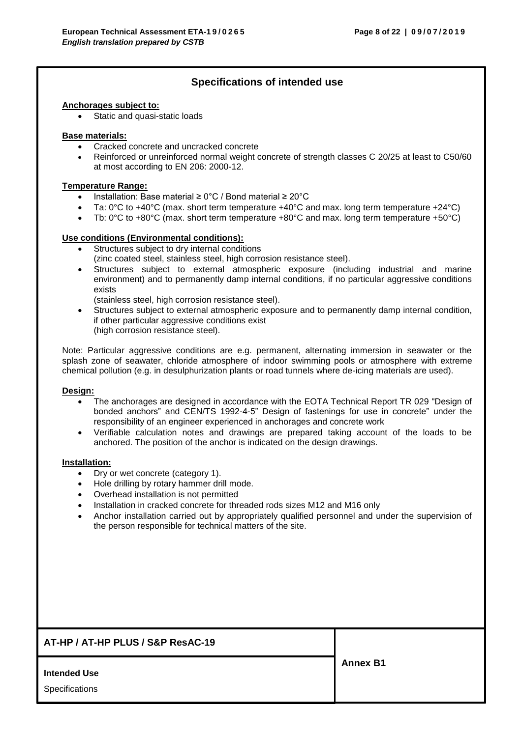## **Specifications of intended use**

#### **Anchorages subject to:**

Static and quasi-static loads

#### **Base materials:**

- Cracked concrete and uncracked concrete
- Reinforced or unreinforced normal weight concrete of strength classes C 20/25 at least to C50/60 at most according to EN 206: 2000-12.

#### **Temperature Range:**

- Installation: Base material ≥ 0°C / Bond material ≥ 20°C
- Ta: 0°C to +40°C (max. short term temperature +40°C and max. long term temperature +24°C)
- Tb: 0°C to +80°C (max. short term temperature +80°C and max. long term temperature +50°C)

#### **Use conditions (Environmental conditions):**

- Structures subject to dry internal conditions
	- (zinc coated steel, stainless steel, high corrosion resistance steel).
- Structures subject to external atmospheric exposure (including industrial and marine environment) and to permanently damp internal conditions, if no particular aggressive conditions exists

(stainless steel, high corrosion resistance steel).

• Structures subject to external atmospheric exposure and to permanently damp internal condition, if other particular aggressive conditions exist (high corrosion resistance steel).

Note: Particular aggressive conditions are e.g. permanent, alternating immersion in seawater or the splash zone of seawater, chloride atmosphere of indoor swimming pools or atmosphere with extreme chemical pollution (e.g. in desulphurization plants or road tunnels where de-icing materials are used).

#### **Design:**

- The anchorages are designed in accordance with the EOTA Technical Report TR 029 "Design of bonded anchors" and CEN/TS 1992-4-5" Design of fastenings for use in concrete" under the responsibility of an engineer experienced in anchorages and concrete work
- Verifiable calculation notes and drawings are prepared taking account of the loads to be anchored. The position of the anchor is indicated on the design drawings.

#### **Installation:**

- Dry or wet concrete (category 1).
- Hole drilling by rotary hammer drill mode.
- Overhead installation is not permitted
- Installation in cracked concrete for threaded rods sizes M12 and M16 only
- Anchor installation carried out by appropriately qualified personnel and under the supervision of the person responsible for technical matters of the site.

| AT-HP / AT-HP PLUS / S&P ResAC-19 |                 |
|-----------------------------------|-----------------|
|                                   | <b>Annex B1</b> |
| <b>Intended Use</b>               |                 |
| Specifications                    |                 |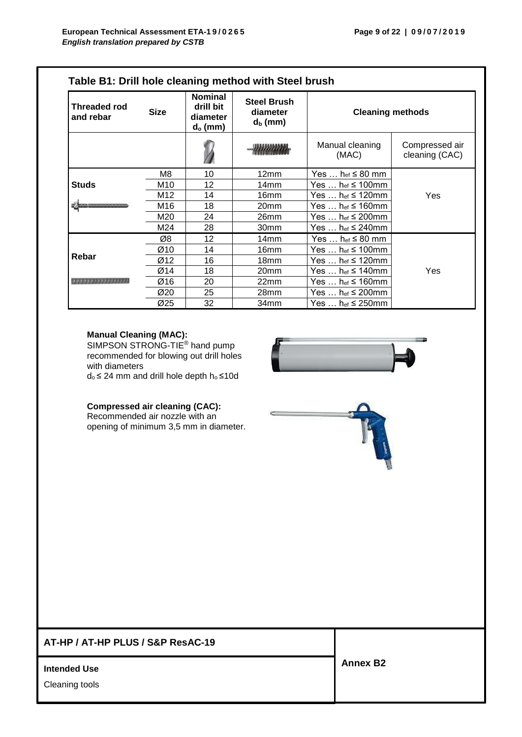| <b>Threaded rod</b><br>and rebar | <b>Size</b> | <b>Nominal</b><br>drill bit<br>diameter<br>$d_o$ (mm) | <b>Steel Brush</b><br>diameter<br>$d_b$ (mm) | <b>Cleaning methods</b>                  |                                  |
|----------------------------------|-------------|-------------------------------------------------------|----------------------------------------------|------------------------------------------|----------------------------------|
|                                  |             |                                                       |                                              | Manual cleaning<br>(MAC)                 | Compressed air<br>cleaning (CAC) |
|                                  | M8          | 10                                                    | 12 <sub>mm</sub>                             | Yes $h_{ef} \leq 80$ mm                  |                                  |
| <b>Studs</b>                     | M10         | 12                                                    | 14mm                                         | Yes $h_{ef} \leq 100$ mm                 |                                  |
|                                  | M12         | 14                                                    | 16mm                                         | Yes $\dots$ het $\leq$ 120mm             | Yes                              |
|                                  | M16         | 18                                                    | 20mm                                         | Yes … h <sub>ef</sub> ≤ 160mm            |                                  |
|                                  | M20         | 24                                                    | 26mm                                         | Yes $\dots$ h <sub>ef</sub> $\leq$ 200mm |                                  |
|                                  | M24         | 28                                                    | 30mm                                         | Yes … h $_{\rm ef}$ ≤ 240mm              |                                  |
|                                  | Ø8          | 12                                                    | 14mm                                         | Yes $\dots$ h <sub>ef</sub> $\leq 80$ mm |                                  |
|                                  | Ø10         | 14                                                    | 16mm                                         | Yes … h $_{\mathsf{ef}}$ ≤ 100mm         |                                  |
| Rebar                            | Ø12         | 16                                                    | 18 <sub>mm</sub>                             | Yes $\dots$ h <sub>ef</sub> $\leq$ 120mm |                                  |
|                                  | Ø14         | 18                                                    | 20mm                                         | Yes … h <sub>ef</sub> ≤ 140mm            | Yes                              |
| <b>.</b>                         | Ø16         | 20                                                    | 22mm                                         | Yes $\dots$ h <sub>ef</sub> $\leq$ 160mm |                                  |
|                                  | Ø20         | 25                                                    | 28mm                                         | Yes $\dots$ h <sub>ef</sub> $\leq$ 200mm |                                  |
|                                  | Ø25         | 32                                                    | 34mm                                         | Yes … h <sub>ef</sub> ≤ 250mm            |                                  |

#### **Manual Cleaning (MAC):**

SIMPSON STRONG-TIE<sup>®</sup> hand pump recommended for blowing out drill holes with diameters

d<sup>o</sup> ≤ 24 mm and drill hole depth h<sup>o</sup> ≤10d

#### **Compressed air cleaning (CAC):**

Recommended air nozzle with an opening of minimum 3,5 mm in diameter.

## **AT-HP / AT-HP PLUS / S&P ResAC-19**

**Intended Use** 

Cleaning tools



**Annex B2**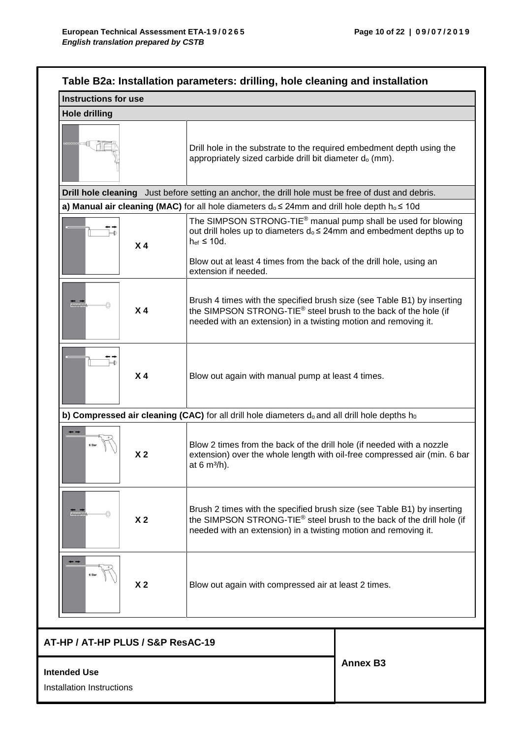| <b>Instructions for use</b>       |                                                                                                                                                                                                                                                             |  |  |
|-----------------------------------|-------------------------------------------------------------------------------------------------------------------------------------------------------------------------------------------------------------------------------------------------------------|--|--|
| <b>Hole drilling</b>              |                                                                                                                                                                                                                                                             |  |  |
|                                   | Drill hole in the substrate to the required embedment depth using the<br>appropriately sized carbide drill bit diameter d <sub>o</sub> (mm).                                                                                                                |  |  |
|                                   | Drill hole cleaning Just before setting an anchor, the drill hole must be free of dust and debris.                                                                                                                                                          |  |  |
|                                   | a) Manual air cleaning (MAC) for all hole diameters $d_0 \le 24$ mm and drill hole depth $h_0 \le 10d$                                                                                                                                                      |  |  |
| X <sub>4</sub>                    | The SIMPSON STRONG-TIE <sup>®</sup> manual pump shall be used for blowing<br>out drill holes up to diameters d <sub>o</sub> ≤ 24mm and embedment depths up to<br>$h_{ef} \leq 10d$ .<br>Blow out at least 4 times from the back of the drill hole, using an |  |  |
|                                   | extension if needed.                                                                                                                                                                                                                                        |  |  |
| "<br>X <sub>4</sub>               | Brush 4 times with the specified brush size (see Table B1) by inserting<br>the SIMPSON STRONG-TIE <sup>®</sup> steel brush to the back of the hole (if<br>needed with an extension) in a twisting motion and removing it.                                   |  |  |
| X <sub>4</sub>                    | Blow out again with manual pump at least 4 times.                                                                                                                                                                                                           |  |  |
|                                   | b) Compressed air cleaning (CAC) for all drill hole diameters $d_0$ and all drill hole depths $h_0$                                                                                                                                                         |  |  |
| X <sub>2</sub>                    | Blow 2 times from the back of the drill hole (if needed with a nozzle<br>extension) over the whole length with oil-free compressed air (min. 6 bar<br>at 6 $m^3/h$ ).                                                                                       |  |  |
| "<br>X <sub>2</sub>               | Brush 2 times with the specified brush size (see Table B1) by inserting<br>the SIMPSON STRONG-TIE <sup>®</sup> steel brush to the back of the drill hole (if<br>needed with an extension) in a twisting motion and removing it.                             |  |  |
| X <sub>2</sub>                    | Blow out again with compressed air at least 2 times.                                                                                                                                                                                                        |  |  |
| AT-HP / AT-HP PLUS / S&P ResAC-19 |                                                                                                                                                                                                                                                             |  |  |
|                                   | <b>Annex B3</b>                                                                                                                                                                                                                                             |  |  |

## **Intended Use**

Installation Instructions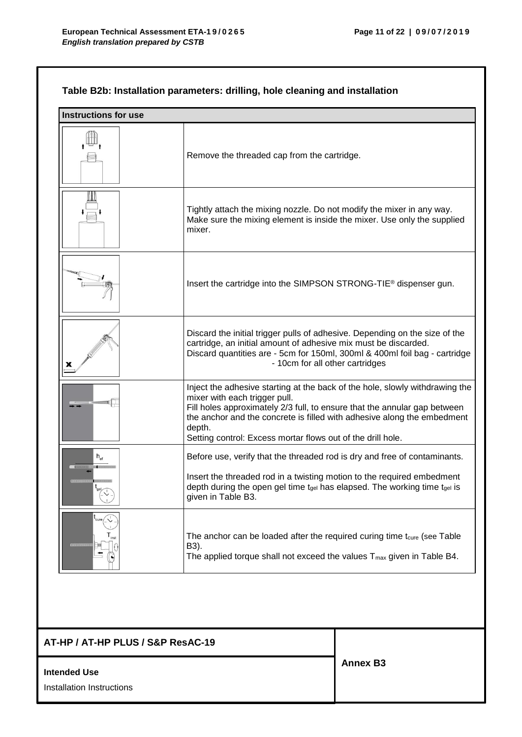## **Table B2b: Installation parameters: drilling, hole cleaning and installation**

| <b>Instructions for use</b> |                                                                                                                                                                                                                                                                                                                                                |
|-----------------------------|------------------------------------------------------------------------------------------------------------------------------------------------------------------------------------------------------------------------------------------------------------------------------------------------------------------------------------------------|
|                             | Remove the threaded cap from the cartridge.                                                                                                                                                                                                                                                                                                    |
|                             | Tightly attach the mixing nozzle. Do not modify the mixer in any way.<br>Make sure the mixing element is inside the mixer. Use only the supplied<br>mixer.                                                                                                                                                                                     |
|                             | Insert the cartridge into the SIMPSON STRONG-TIE <sup>®</sup> dispenser gun.                                                                                                                                                                                                                                                                   |
| х                           | Discard the initial trigger pulls of adhesive. Depending on the size of the<br>cartridge, an initial amount of adhesive mix must be discarded.<br>Discard quantities are - 5cm for 150ml, 300ml & 400ml foil bag - cartridge<br>- 10cm for all other cartridges                                                                                |
|                             | Inject the adhesive starting at the back of the hole, slowly withdrawing the<br>mixer with each trigger pull.<br>Fill holes approximately 2/3 full, to ensure that the annular gap between<br>the anchor and the concrete is filled with adhesive along the embedment<br>depth.<br>Setting control: Excess mortar flows out of the drill hole. |
|                             | Before use, verify that the threaded rod is dry and free of contaminants.<br>Insert the threaded rod in a twisting motion to the required embedment<br>depth during the open gel time tgel has elapsed. The working time tgel is<br>given in Table B3.                                                                                         |
|                             | The anchor can be loaded after the required curing time t <sub>cure</sub> (see Table<br>B3).<br>The applied torque shall not exceed the values $T_{\text{max}}$ given in Table B4.                                                                                                                                                             |

## **AT-HP / AT-HP PLUS / S&P ResAC-19**

#### **Intended Use**

Installation Instructions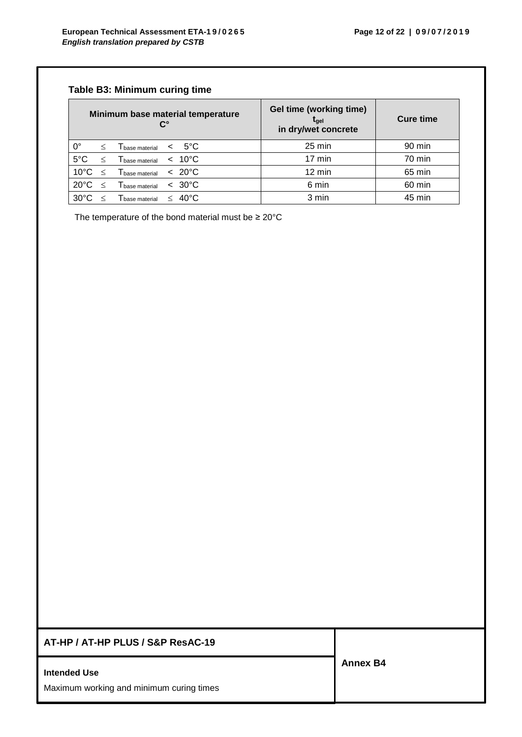## **Table B3: Minimum curing time**

| Minimum base material temperature<br>ሮ° |         | <b>Gel time (working time)</b><br>tael<br>in dry/wet concrete | <b>Cure time</b> |                   |        |        |
|-----------------------------------------|---------|---------------------------------------------------------------|------------------|-------------------|--------|--------|
| $0^{\circ}$                             | $\,<\,$ | Thase material $\leq 5^{\circ}$ C                             |                  |                   | 25 min | 90 min |
| $5^{\circ}$ C                           |         | $\mathsf{T}_{\mathsf{base\ material}}$                        |                  | $< 10^{\circ}$ C  | 17 min | 70 min |
| $10^{\circ}$ C                          | $\prec$ | $\mathsf{T}_{\mathsf{base\ material}}$                        |                  | $~<~20^{\circ}$ C | 12 min | 65 min |
| $20^{\circ}$ C                          | $\,<\,$ | $\mathsf{T}_{\mathsf{base\ material}}$                        |                  | $< 30^{\circ}$ C  | 6 min  | 60 min |
| $30^{\circ}$ C                          |         | $\Gamma_{\text{base material}}$                               | $\lt$            | $40^{\circ}$ C    | 3 min  | 45 min |

The temperature of the bond material must be  $\geq 20^{\circ}$ C

## **AT-HP / AT-HP PLUS / S&P ResAC-19**

#### **Intended Use**

Maximum working and minimum curing times

**Annex B4**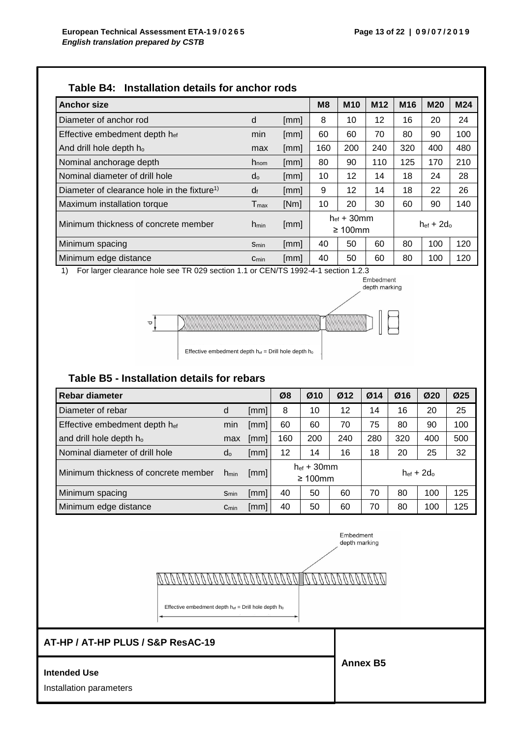depth marking

|  | Table B4: Installation details for anchor rods |  |  |
|--|------------------------------------------------|--|--|
|--|------------------------------------------------|--|--|

| <b>Anchor size</b>                                      |                  |      | M8              | <b>M10</b>                     | M <sub>12</sub> | M <sub>16</sub> | <b>M20</b> | M24 |
|---------------------------------------------------------|------------------|------|-----------------|--------------------------------|-----------------|-----------------|------------|-----|
| Diameter of anchor rod                                  | d                | [mm] | 8               | 10                             | 12              | 16              | 20         | 24  |
| Effective embedment depth hef                           | min              | [mm] | 60              | 60                             | 70              | 80              | 90         | 100 |
| And drill hole depth ho                                 | max              | [mm] | 160             | 200                            | 240             | 320             | 400        | 480 |
| Nominal anchorage depth                                 | $h_{\text{nom}}$ | [mm] | 80              | 90                             | 110             | 125             | 170        | 210 |
| Nominal diameter of drill hole                          | do               | [mm] | 10 <sup>1</sup> | 12                             | 14              | 18              | 24         | 28  |
| Diameter of clearance hole in the fixture <sup>1)</sup> | df               | [mm] | 9               | 12                             | 14              | 18              | 22         | 26  |
| Maximum installation torque                             | $T_{\sf max}$    | [Nm] | 10              | 20                             | 30              | 60              | 90         | 140 |
| Minimum thickness of concrete member                    | $h_{min}$        | [mm] |                 | $hef + 30$ mm<br>$\geq 100$ mm |                 | $hef + 2d_0$    |            |     |
| Minimum spacing                                         | Smin             | [mm] | 40              | 50                             | 60              | 80              | 100        | 120 |
| Minimum edge distance                                   | $C_{min}$        | [mm] | 40              | 50                             | 60              | 80              | 100        | 120 |

1) For larger clearance hole see TR 029 section 1.1 or CEN/TS 1992-4-1 section 1.2.3 Embedment



## **Table B5 - Installation details for rebars**

| <b>Rebar diameter</b>                |                                                                              |      | Ø8  | Ø10 | Ø12 | Ø14 | Ø16 | Ø20 | Ø <sub>25</sub> |
|--------------------------------------|------------------------------------------------------------------------------|------|-----|-----|-----|-----|-----|-----|-----------------|
| Diameter of rebar                    | d                                                                            | [mm] | 8   | 10  | 12  | 14  | 16  | 20  | 25              |
| Effective embedment depth hef        | min                                                                          | [mm] | 60  | 60  | 70  | 75  | 80  | 90  | 100             |
| and drill hole depth ho              | max                                                                          | [mm] | 160 | 200 | 240 | 280 | 320 | 400 | 500             |
| Nominal diameter of drill hole       | $d_{o}$                                                                      | [mm] | 12  | 14  | 16  | 18  | 20  | 25  | 32              |
| Minimum thickness of concrete member | $h_{ef}$ + 30mm<br>$hef + 2d_0$<br>[mm]<br>h <sub>min</sub><br>$\geq 100$ mm |      |     |     |     |     |     |     |                 |
| Minimum spacing                      | Smin                                                                         | [mm] | 40  | 50  | 60  | 70  | 80  | 100 | 125             |
| Minimum edge distance                | $C_{min}$                                                                    | [mm] | 40  | 50  | 60  | 70  | 80  | 100 | 125             |

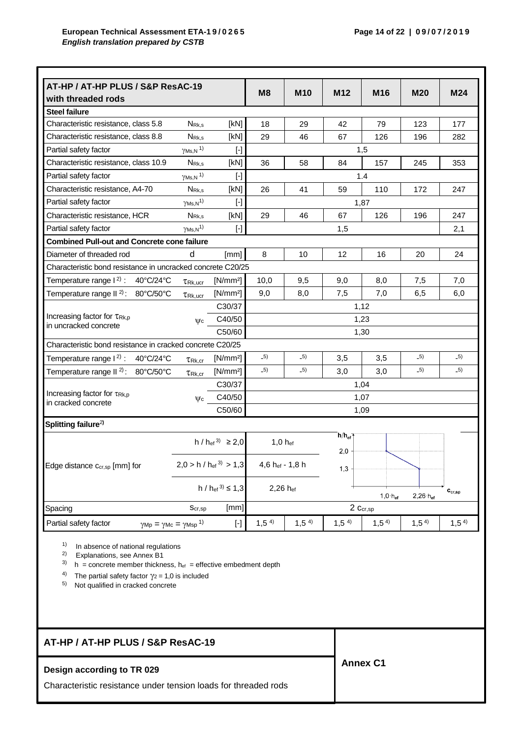|                                                                       | AT-HP / AT-HP PLUS / S&P ResAC-19                                    |                                                                                                                                                                                                                                                                                                                                                                                                                                                                                                                                                                                                                                                                                                                                                                                                                                                                                          | M <sub>8</sub>   | <b>M10</b>       | M12               | M <sub>16</sub> | <b>M20</b>          | M24                         |  |
|-----------------------------------------------------------------------|----------------------------------------------------------------------|------------------------------------------------------------------------------------------------------------------------------------------------------------------------------------------------------------------------------------------------------------------------------------------------------------------------------------------------------------------------------------------------------------------------------------------------------------------------------------------------------------------------------------------------------------------------------------------------------------------------------------------------------------------------------------------------------------------------------------------------------------------------------------------------------------------------------------------------------------------------------------------|------------------|------------------|-------------------|-----------------|---------------------|-----------------------------|--|
| with threaded rods                                                    |                                                                      |                                                                                                                                                                                                                                                                                                                                                                                                                                                                                                                                                                                                                                                                                                                                                                                                                                                                                          |                  |                  |                   |                 |                     |                             |  |
| <b>Steel failure</b>                                                  |                                                                      |                                                                                                                                                                                                                                                                                                                                                                                                                                                                                                                                                                                                                                                                                                                                                                                                                                                                                          |                  |                  |                   |                 |                     |                             |  |
| Characteristic resistance, class 5.8                                  | N <sub>Rk,s</sub>                                                    | [kN]                                                                                                                                                                                                                                                                                                                                                                                                                                                                                                                                                                                                                                                                                                                                                                                                                                                                                     | 18               | 29               | 42                | 79              | 123                 | 177                         |  |
| Characteristic resistance, class 8.8                                  | N <sub>Rk,s</sub>                                                    | [kN]                                                                                                                                                                                                                                                                                                                                                                                                                                                                                                                                                                                                                                                                                                                                                                                                                                                                                     | 29               | 46               | 67                | 126             | 196                 | 282                         |  |
| Partial safety factor                                                 | $\gamma$ Ms, N $^{\text{1}}$ )                                       | $[\cdot]$                                                                                                                                                                                                                                                                                                                                                                                                                                                                                                                                                                                                                                                                                                                                                                                                                                                                                |                  |                  |                   | 1,5             |                     |                             |  |
| Characteristic resistance, class 10.9                                 | N <sub>Rk,s</sub>                                                    | [kN]                                                                                                                                                                                                                                                                                                                                                                                                                                                                                                                                                                                                                                                                                                                                                                                                                                                                                     | 36               | 58               | 84                | 157             | 245                 | 353                         |  |
| Partial safety factor                                                 | $\gamma$ Ms, N $^{\text{1}}$ )                                       | $[\cdot] % \centering \includegraphics[width=0.9\textwidth]{images/TrDiS/N-Architecture.png} % \caption{The first two different values of $N$ in the \mbox{thick}, $N=100$ and $N=100$ and $N=100$ and $N=100$ and $N=100$ and $N=100$ and $N=100$ and $N=100$ and $N=100$ and $N=100$ and $N=100$ and $N=100$ and $N=100$ and $N=100$ and $N=100$ and $N=100$ and $N=100$ and $N=100$ and $N=100$ and $N=100$ and $N=100$$                                                                                                                                                                                                                                                                                                                                                                                                                                                              |                  |                  |                   | 1.4             |                     |                             |  |
| Characteristic resistance, A4-70                                      | $N_{\rm Rk,s}$                                                       | [kN]                                                                                                                                                                                                                                                                                                                                                                                                                                                                                                                                                                                                                                                                                                                                                                                                                                                                                     | 26               | 41               | 59                | 110             | 172                 | 247                         |  |
| Partial safety factor                                                 | $\gamma$ <sub>Ms,N</sub> <sup>1</sup> )                              | $[\cdot]$                                                                                                                                                                                                                                                                                                                                                                                                                                                                                                                                                                                                                                                                                                                                                                                                                                                                                |                  |                  |                   | 1,87            |                     |                             |  |
| Characteristic resistance, HCR                                        | N <sub>Rk,s</sub>                                                    | [kN]                                                                                                                                                                                                                                                                                                                                                                                                                                                                                                                                                                                                                                                                                                                                                                                                                                                                                     | 29               | 46               | 67                | 126             | 196                 | 247                         |  |
| Partial safety factor                                                 | $\gamma$ Ms, N <sup>1)</sup>                                         | $[\cdot] % \centering \includegraphics[width=0.9\columnwidth]{figures/fig_10.pdf} \caption{The graph $\mathcal{N}_1$ is a function of the input and the input $n$. The graph $\mathcal{N}_2$ is a function of the input $n$.} \label{fig:1}$                                                                                                                                                                                                                                                                                                                                                                                                                                                                                                                                                                                                                                             |                  |                  | 1,5               |                 |                     | 2,1                         |  |
| <b>Combined Pull-out and Concrete cone failure</b>                    |                                                                      |                                                                                                                                                                                                                                                                                                                                                                                                                                                                                                                                                                                                                                                                                                                                                                                                                                                                                          |                  |                  |                   |                 |                     |                             |  |
| Diameter of threaded rod                                              | d                                                                    | [mm]                                                                                                                                                                                                                                                                                                                                                                                                                                                                                                                                                                                                                                                                                                                                                                                                                                                                                     | 8                | 10               | 12                | 16              | 20                  | 24                          |  |
| Characteristic bond resistance in uncracked concrete C20/25           |                                                                      |                                                                                                                                                                                                                                                                                                                                                                                                                                                                                                                                                                                                                                                                                                                                                                                                                                                                                          |                  |                  |                   |                 |                     |                             |  |
| Temperature range $1^{2}$ : 40°C/24°C                                 | $T_{\mathsf{Rk},\mathsf{ucr}}$                                       | [N/mm <sup>2</sup> ]                                                                                                                                                                                                                                                                                                                                                                                                                                                                                                                                                                                                                                                                                                                                                                                                                                                                     | 10,0             | 9,5              | 9,0               | 8,0             | 7,5                 | 7,0                         |  |
| Temperature range II <sup>2)</sup> : 80°C/50°C                        | $TRk,$ ucr                                                           | [N/mm <sup>2</sup> ]                                                                                                                                                                                                                                                                                                                                                                                                                                                                                                                                                                                                                                                                                                                                                                                                                                                                     | 9,0              | 8,0              | 7,5               | 7,0             | 6,5                 | 6,0                         |  |
|                                                                       |                                                                      | C30/37                                                                                                                                                                                                                                                                                                                                                                                                                                                                                                                                                                                                                                                                                                                                                                                                                                                                                   |                  |                  |                   | 1,12            |                     |                             |  |
| Increasing factor for TRk,p<br>$\mathsf{Wc}$<br>in uncracked concrete |                                                                      | C40/50                                                                                                                                                                                                                                                                                                                                                                                                                                                                                                                                                                                                                                                                                                                                                                                                                                                                                   |                  |                  |                   | 1,23            |                     |                             |  |
|                                                                       |                                                                      | C50/60                                                                                                                                                                                                                                                                                                                                                                                                                                                                                                                                                                                                                                                                                                                                                                                                                                                                                   |                  |                  |                   | 1,30            |                     |                             |  |
| Characteristic bond resistance in cracked concrete C20/25             |                                                                      |                                                                                                                                                                                                                                                                                                                                                                                                                                                                                                                                                                                                                                                                                                                                                                                                                                                                                          |                  |                  |                   |                 |                     |                             |  |
| Temperature range $1^2$ : 40°C/24°C                                   | TRk, cr                                                              | $[N/mm^2]$                                                                                                                                                                                                                                                                                                                                                                                                                                                                                                                                                                                                                                                                                                                                                                                                                                                                               | $-5)$            | $-5)$            | 3,5               | 3,5             | $-5)$               | $-5)$                       |  |
| Temperature range II $^{2)}$ : 80°C/50°C                              | $\tau_{\text{Rk,cr}}$                                                | [N/mm <sup>2</sup> ]                                                                                                                                                                                                                                                                                                                                                                                                                                                                                                                                                                                                                                                                                                                                                                                                                                                                     | $-5)$            | $-5)$            | 3,0               | 3,0             | $-5)$               | $-5)$                       |  |
|                                                                       |                                                                      | C30/37                                                                                                                                                                                                                                                                                                                                                                                                                                                                                                                                                                                                                                                                                                                                                                                                                                                                                   |                  |                  |                   | 1,04            |                     |                             |  |
| Increasing factor for TRK,p<br>in cracked concrete                    | $\mathsf{W}_{\mathsf{C}}$                                            | C40/50                                                                                                                                                                                                                                                                                                                                                                                                                                                                                                                                                                                                                                                                                                                                                                                                                                                                                   | 1,07             |                  |                   |                 |                     |                             |  |
|                                                                       |                                                                      | C50/60                                                                                                                                                                                                                                                                                                                                                                                                                                                                                                                                                                                                                                                                                                                                                                                                                                                                                   |                  |                  |                   | 1,09            |                     |                             |  |
| Splitting failure <sup>2)</sup>                                       |                                                                      |                                                                                                                                                                                                                                                                                                                                                                                                                                                                                                                                                                                                                                                                                                                                                                                                                                                                                          |                  |                  |                   |                 |                     |                             |  |
|                                                                       |                                                                      | $h / h_{\text{ef}}^{3} \ge 2.0$                                                                                                                                                                                                                                                                                                                                                                                                                                                                                                                                                                                                                                                                                                                                                                                                                                                          | $1,0 h_{ef}$     |                  | $h/h_{\text{ef}}$ |                 |                     |                             |  |
|                                                                       |                                                                      |                                                                                                                                                                                                                                                                                                                                                                                                                                                                                                                                                                                                                                                                                                                                                                                                                                                                                          |                  |                  | 2,0               |                 |                     |                             |  |
| Edge distance c <sub>cr,sp</sub> [mm] for                             |                                                                      | $2,0 > h / h_{\text{ef}}^{3} > 1,3$                                                                                                                                                                                                                                                                                                                                                                                                                                                                                                                                                                                                                                                                                                                                                                                                                                                      | 4,6 hef - 1,8 h  |                  | 1,3               |                 |                     |                             |  |
|                                                                       |                                                                      |                                                                                                                                                                                                                                                                                                                                                                                                                                                                                                                                                                                                                                                                                                                                                                                                                                                                                          |                  |                  |                   |                 |                     |                             |  |
|                                                                       |                                                                      | $h / h_{ef}^{3} \le 1.3$                                                                                                                                                                                                                                                                                                                                                                                                                                                                                                                                                                                                                                                                                                                                                                                                                                                                 | 2,26 hef         |                  |                   |                 |                     | $\mathbf{c}_{\text{cr,sp}}$ |  |
|                                                                       |                                                                      | [mm]                                                                                                                                                                                                                                                                                                                                                                                                                                                                                                                                                                                                                                                                                                                                                                                                                                                                                     |                  |                  |                   | $1,0 h_{ef}$    | $2,26 \cdot h_{ef}$ |                             |  |
| Spacing<br>Partial safety factor                                      | $S_{cr,sp}$                                                          |                                                                                                                                                                                                                                                                                                                                                                                                                                                                                                                                                                                                                                                                                                                                                                                                                                                                                          |                  |                  |                   | 2 Ccr,sp        |                     |                             |  |
|                                                                       | $\gamma_{\text{Mp}} = \gamma_{\text{Mc}} = \gamma_{\text{Msp}}^{-1}$ | $[\cdot] % \centering \includegraphics[width=0.9\textwidth]{images/TrDiM-Architecture.png} % \caption{The first two different values of $S$ and $S$ are shown in the left, the first two different values of $S$ and $S$ are shown in the right, and the second two different values of $S$ are shown in the right, and the second two different values of $S$ are shown in the right, and the second two different values of $S$ are shown in the right, and the third two different values of $S$ are shown in the right, and the third two different values of $S$ are shown in the right, and the third two different values of $S$ are shown in the right, and the third two different values of $S$ are shown in the right, and the third two different values of $S$ are shown in the right, and the third two different values of $S$ are shown in the right, and the third two$ | 1,5 <sup>4</sup> | 1,5 <sup>4</sup> | 1,5 <sup>4</sup>  | $1,5^{4}$       | 1,5 <sup>4</sup>    | 1,5 <sup>4</sup>            |  |

## **AT-HP / AT-HP PLUS / S&P ResAC-19**

## **Design according to TR 029**

Characteristic resistance under tension loads for threaded rods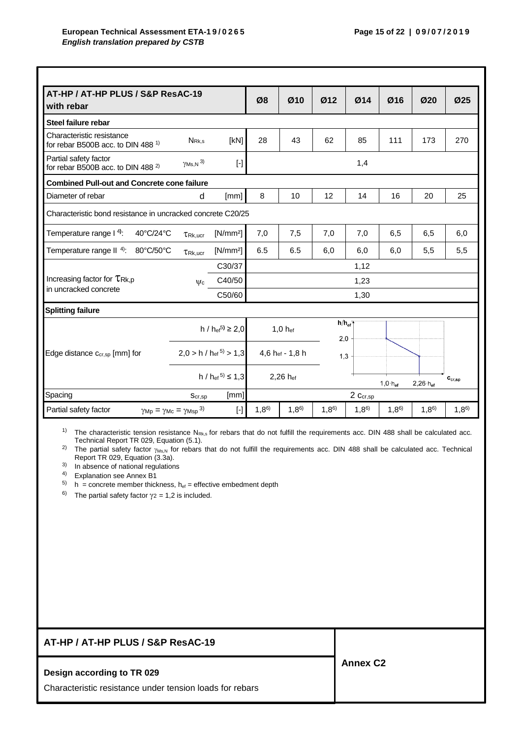| AT-HP / AT-HP PLUS / S&P ResAC-19<br>with rebar                                 |                                     |                                    | Ø8        | Ø10             | Ø12               | Ø14       | Ø16                       | Ø20                 | Ø25                         |  |  |
|---------------------------------------------------------------------------------|-------------------------------------|------------------------------------|-----------|-----------------|-------------------|-----------|---------------------------|---------------------|-----------------------------|--|--|
| Steel failure rebar                                                             |                                     |                                    |           |                 |                   |           |                           |                     |                             |  |  |
| Characteristic resistance<br>for rebar B500B acc. to DIN 488 <sup>1)</sup>      | N <sub>Rk.s</sub>                   | [KN]                               | 28        | 43              | 62                | 85        | 111                       | 173                 | 270                         |  |  |
| Partial safety factor<br>for rebar B500B acc. to DIN 488 <sup>2)</sup>          | $\gamma$ Ms, N $^{3)}$              | $[\cdot]$                          |           |                 |                   | 1,4       |                           |                     |                             |  |  |
| <b>Combined Pull-out and Concrete cone failure</b>                              |                                     |                                    |           |                 |                   |           |                           |                     |                             |  |  |
| Diameter of rebar                                                               | d                                   | [mm]                               | 8         | 10              | 12                | 14        | 16                        | 20                  | 25                          |  |  |
| Characteristic bond resistance in uncracked concrete C20/25                     |                                     |                                    |           |                 |                   |           |                           |                     |                             |  |  |
| Temperature range I 4):<br>40°C/24°C                                            | $TRk,$ ucr                          | $[N/mm^2]$                         | 7,0       | 7,5             | 7,0               | 7,0       | 6,5                       | 6,5                 | 6,0                         |  |  |
| Temperature range II 4):<br>80°C/50°C                                           | $\tau_{\rm Rk, ucr}$                | $[N/mm^2]$                         | 6.5       | 6.5             | 6,0               | 6,0       | 6,0                       | 5,5                 | 5,5                         |  |  |
|                                                                                 |                                     | C30/37                             | 1,12      |                 |                   |           |                           |                     |                             |  |  |
| Increasing factor for $\tau_{\text{Rk,p}}$                                      | $\psi$ c                            | C40/50                             | 1,23      |                 |                   |           |                           |                     |                             |  |  |
| in uncracked concrete                                                           |                                     | C50/60                             | 1,30      |                 |                   |           |                           |                     |                             |  |  |
| <b>Splitting failure</b>                                                        |                                     |                                    |           |                 |                   |           |                           |                     |                             |  |  |
|                                                                                 |                                     | h / $h_{\text{ef}}^{5}$ $\geq 2.0$ |           | 1,0 hef         | $h/h_{ef}$<br>2,0 |           |                           |                     |                             |  |  |
| Edge distance Ccr,sp [mm] for                                                   | $2,0 > h / h_{\text{ef}}^{5} > 1,3$ |                                    |           | 4,6 hef - 1,8 h | 1,3               |           |                           |                     |                             |  |  |
|                                                                                 |                                     | h / h <sub>ef</sub> $5 \le 1,3$    |           | 2,26 hef        |                   |           | $1,0 \cdot h_{\text{ef}}$ | $2,26 \cdot h_{ef}$ | $\mathbf{c}_{\text{cr,sp}}$ |  |  |
| Spacing                                                                         | Scr, sp                             | [mm]                               |           |                 |                   | 2 Ccr,sp  |                           |                     |                             |  |  |
| Partial safety factor<br>$\gamma$ Mp = $\gamma$ Mc = $\gamma$ Msp <sup>3)</sup> |                                     | $\lbrack \cdot \rbrack$            | $1,8^{6}$ | $1,8^{6}$       | $1,8^{6}$         | $1,8^{6}$ | $1,8^{6}$                 | $1,8^{6}$           | $1,8^{6}$                   |  |  |

<sup>1)</sup> The characteristic tension resistance N<sub>Rk,s</sub> for rebars that do not fulfill the requirements acc. DIN 488 shall be calculated acc. Technical Report TR 029, Equation (5.1).

<sup>2)</sup> The partial safety factor  $\gamma_{Ms,N}$  for rebars that do not fulfill the requirements acc. DIN 488 shall be calculated acc. Technical Report TR 029, Equation (3.3a).

<sup>3)</sup> In absence of national regulations

4) Explanation see Annex B1

<sup>5)</sup> h = concrete member thickness, h<sub>ef</sub> = effective embedment depth

<sup>6)</sup> The partial safety factor  $\gamma_2 = 1,2$  is included.

## **AT-HP / AT-HP PLUS / S&P ResAC-19**

#### **Design according to TR 029**

Characteristic resistance under tension loads for rebars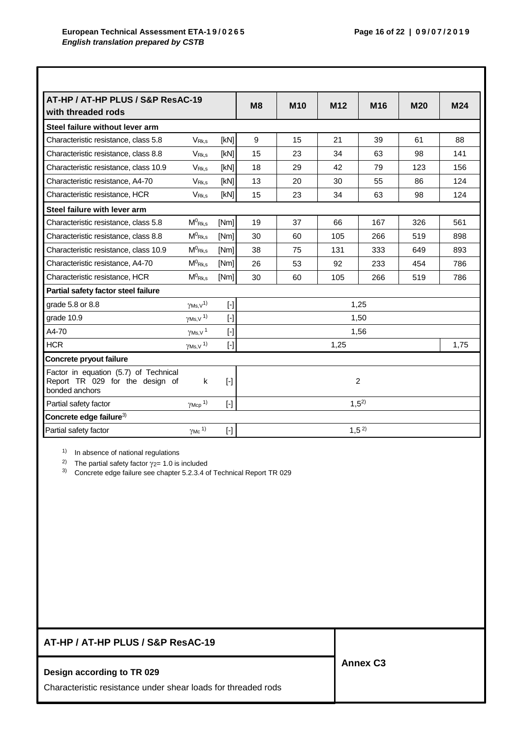| AT-HP / AT-HP PLUS / S&P ResAC-19<br>with threaded rods                                    |                              |                                                                                                                                                                                                                                                                                                                                                                                                                                                                                                                                                                                                                                                                                                                                                                                  | M8        | M <sub>10</sub> | M <sub>12</sub> | M <sub>16</sub>  | <b>M20</b> | M24  |
|--------------------------------------------------------------------------------------------|------------------------------|----------------------------------------------------------------------------------------------------------------------------------------------------------------------------------------------------------------------------------------------------------------------------------------------------------------------------------------------------------------------------------------------------------------------------------------------------------------------------------------------------------------------------------------------------------------------------------------------------------------------------------------------------------------------------------------------------------------------------------------------------------------------------------|-----------|-----------------|-----------------|------------------|------------|------|
| Steel failure without lever arm                                                            |                              |                                                                                                                                                                                                                                                                                                                                                                                                                                                                                                                                                                                                                                                                                                                                                                                  |           |                 |                 |                  |            |      |
| Characteristic resistance, class 5.8                                                       | <b>VRK.s</b>                 | [kN]                                                                                                                                                                                                                                                                                                                                                                                                                                                                                                                                                                                                                                                                                                                                                                             | 9         | 15              | 21              | 39               | 61         | 88   |
| Characteristic resistance, class 8.8                                                       | V <sub>Rk.s</sub>            | [kN]                                                                                                                                                                                                                                                                                                                                                                                                                                                                                                                                                                                                                                                                                                                                                                             | 15        | 23              | 34              | 63               | 98         | 141  |
| Characteristic resistance, class 10.9                                                      | <b>VRK.s</b>                 | [kN]                                                                                                                                                                                                                                                                                                                                                                                                                                                                                                                                                                                                                                                                                                                                                                             | 18        | 29              | 42              | 79               | 123        | 156  |
| Characteristic resistance, A4-70                                                           | V <sub>Rk,s</sub>            | [kN]                                                                                                                                                                                                                                                                                                                                                                                                                                                                                                                                                                                                                                                                                                                                                                             | 13        | 20              | 30              | 55               | 86         | 124  |
| Characteristic resistance, HCR                                                             | V <sub>Rk.s</sub>            | [kN]                                                                                                                                                                                                                                                                                                                                                                                                                                                                                                                                                                                                                                                                                                                                                                             | 15        | 23              | 34              | 63               | 98         | 124  |
| Steel failure with lever arm                                                               |                              |                                                                                                                                                                                                                                                                                                                                                                                                                                                                                                                                                                                                                                                                                                                                                                                  |           |                 |                 |                  |            |      |
| Characteristic resistance, class 5.8                                                       | $M^0$ <sub>Rk,s</sub>        | [Nm]                                                                                                                                                                                                                                                                                                                                                                                                                                                                                                                                                                                                                                                                                                                                                                             | 19        | 37              | 66              | 167              | 326        | 561  |
| Characteristic resistance, class 8.8                                                       | $M^0$ <sub>Rk.s</sub>        | [Nm]                                                                                                                                                                                                                                                                                                                                                                                                                                                                                                                                                                                                                                                                                                                                                                             | 30        | 60              | 105             | 266              | 519        | 898  |
| Characteristic resistance, class 10.9                                                      | $M^0$ Rk,s                   | [Nm]                                                                                                                                                                                                                                                                                                                                                                                                                                                                                                                                                                                                                                                                                                                                                                             | 38        | 75              | 131             | 333              | 649        | 893  |
| Characteristic resistance, A4-70                                                           | $M^0$ <sub>Rk.s</sub>        | [Nm]                                                                                                                                                                                                                                                                                                                                                                                                                                                                                                                                                                                                                                                                                                                                                                             | 26        | 53              | 92              | 233              | 454        | 786  |
| Characteristic resistance, HCR                                                             | $M^0$ <sub>Rk,s</sub>        | [Nm]                                                                                                                                                                                                                                                                                                                                                                                                                                                                                                                                                                                                                                                                                                                                                                             | 30        | 60              | 105             | 266              | 519        | 786  |
| Partial safety factor steel failure                                                        |                              |                                                                                                                                                                                                                                                                                                                                                                                                                                                                                                                                                                                                                                                                                                                                                                                  |           |                 |                 |                  |            |      |
| grade 5.8 or 8.8                                                                           | $\gamma$ Ms, $v^{1}$         | $[$                                                                                                                                                                                                                                                                                                                                                                                                                                                                                                                                                                                                                                                                                                                                                                              |           |                 |                 | 1,25             |            |      |
| grade 10.9                                                                                 | $\gamma$ Ms, V <sup>1)</sup> | $[$                                                                                                                                                                                                                                                                                                                                                                                                                                                                                                                                                                                                                                                                                                                                                                              |           |                 |                 | 1,50             |            |      |
| A4-70                                                                                      | $\gamma$ Ms, V <sup>1</sup>  | $[\cdot]$                                                                                                                                                                                                                                                                                                                                                                                                                                                                                                                                                                                                                                                                                                                                                                        |           |                 |                 | 1,56             |            |      |
| <b>HCR</b>                                                                                 | $\gamma$ Ms, V <sup>1)</sup> | $[\cdot] % \centering \includegraphics[width=0.9\textwidth]{images/TrDiS/N-Architecture.png} % \caption{The first two different values of $N$ in the \mbox{thick model} and the second two different values of $N$ in the \mbox{thick model} and the second two different values of $N$ in the \mbox{thick model} and the second two different values of $N$ in the \mbox{thick model} and the second two different values of $N$ in the \mbox{thick model} and the second two different values of $N$ in the \mbox{thick model} and the third two different values of $N$ in the \mbox{thick model} and the third two different values of $N$ in the \mbox{thick model} and the third two different values of $N$ in the \mbox{thick model} and the third two different values$ |           |                 | 1,25            |                  |            | 1,75 |
| Concrete pryout failure                                                                    |                              |                                                                                                                                                                                                                                                                                                                                                                                                                                                                                                                                                                                                                                                                                                                                                                                  |           |                 |                 |                  |            |      |
| Factor in equation (5.7) of Technical<br>Report TR 029 for the design of<br>bonded anchors | k                            | $[\cdot]$                                                                                                                                                                                                                                                                                                                                                                                                                                                                                                                                                                                                                                                                                                                                                                        | 2         |                 |                 |                  |            |      |
| Partial safety factor                                                                      | $\gamma$ Mcp <sup>1)</sup>   | $[$                                                                                                                                                                                                                                                                                                                                                                                                                                                                                                                                                                                                                                                                                                                                                                              | $1,5^{2}$ |                 |                 |                  |            |      |
| Concrete edge failure <sup>3)</sup>                                                        |                              |                                                                                                                                                                                                                                                                                                                                                                                                                                                                                                                                                                                                                                                                                                                                                                                  |           |                 |                 |                  |            |      |
| Partial safety factor                                                                      | $\gamma$ Mc <sup>1)</sup>    | $[$                                                                                                                                                                                                                                                                                                                                                                                                                                                                                                                                                                                                                                                                                                                                                                              |           |                 |                 | 1,5 <sup>2</sup> |            |      |

1) In absence of national regulations

<sup>2)</sup> The partial safety factor  $\gamma_{2}= 1.0$  is included

3) Concrete edge failure see chapter 5.2.3.4 of Technical Report TR 029

| AT-HP / AT-HP PLUS / S&P ResAC-19                                                           |                 |
|---------------------------------------------------------------------------------------------|-----------------|
| Design according to TR 029<br>Characteristic resistance under shear loads for threaded rods | <b>Annex C3</b> |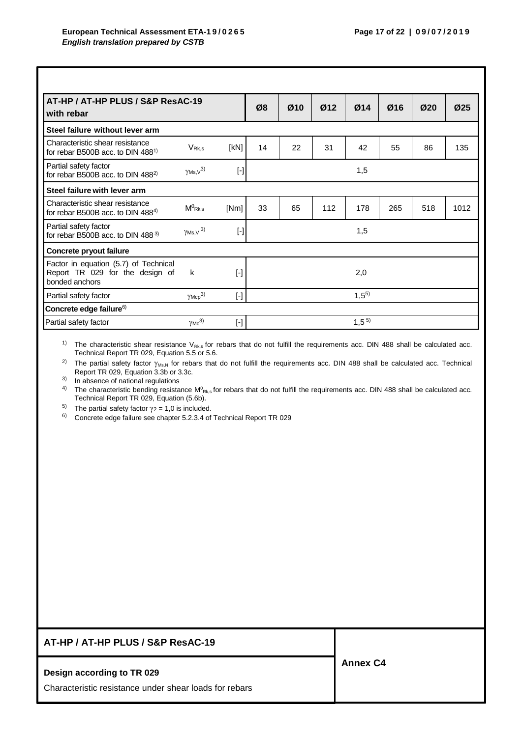| AT-HP / AT-HP PLUS / S&P ResAC-19<br>with rebar                                            |                           |                                                                                                                                                                                                                                                                                                                                                                                                                                                                                                                                                                                                                                                                                                                                                                                                                                                                                          | Ø8        | Ø10 | Ø12 | Ø14       | Ø16 | Ø20 | Ø <sub>25</sub> |
|--------------------------------------------------------------------------------------------|---------------------------|------------------------------------------------------------------------------------------------------------------------------------------------------------------------------------------------------------------------------------------------------------------------------------------------------------------------------------------------------------------------------------------------------------------------------------------------------------------------------------------------------------------------------------------------------------------------------------------------------------------------------------------------------------------------------------------------------------------------------------------------------------------------------------------------------------------------------------------------------------------------------------------|-----------|-----|-----|-----------|-----|-----|-----------------|
| Steel failure without lever arm                                                            |                           |                                                                                                                                                                                                                                                                                                                                                                                                                                                                                                                                                                                                                                                                                                                                                                                                                                                                                          |           |     |     |           |     |     |                 |
| Characteristic shear resistance<br>for rebar B500B acc. to DIN $4881$                      | V <sub>Rk.s</sub>         | [kN]                                                                                                                                                                                                                                                                                                                                                                                                                                                                                                                                                                                                                                                                                                                                                                                                                                                                                     | 14        | 22  | 31  | 42        | 55  | 86  | 135             |
| Partial safety factor<br>for rebar B500B acc. to DIN 488 <sup>2)</sup>                     | $\gamma$ Ms, $v^{3}$      | $[\cdot]$                                                                                                                                                                                                                                                                                                                                                                                                                                                                                                                                                                                                                                                                                                                                                                                                                                                                                |           |     |     | 1,5       |     |     |                 |
| Steel failure with lever arm                                                               |                           |                                                                                                                                                                                                                                                                                                                                                                                                                                                                                                                                                                                                                                                                                                                                                                                                                                                                                          |           |     |     |           |     |     |                 |
| Characteristic shear resistance<br>for rebar B500B acc. to DIN $488^{4}$                   | $M^0$ Rk,s                | [Nm]                                                                                                                                                                                                                                                                                                                                                                                                                                                                                                                                                                                                                                                                                                                                                                                                                                                                                     | 33        | 65  | 112 | 178       | 265 | 518 | 1012            |
| Partial safety factor<br>for rebar B500B acc. to DIN 488 $3$                               | $\gamma$ Ms, V $^{3)}$    | $[\cdot] % \centering \includegraphics[width=0.9\textwidth]{images/TrDiM-Architecture.png} % \caption{The first two different values of $S$ and $S$ are shown in the left, the first two different values of $S$ and $S$ are shown in the right, and the second two different values of $S$ are shown in the right, and the second two different values of $S$ are shown in the right, and the second two different values of $S$ are shown in the right, and the third two different values of $S$ are shown in the right, and the third two different values of $S$ are shown in the right, and the third two different values of $S$ are shown in the right, and the third two different values of $S$ are shown in the right, and the third two different values of $S$ are shown in the right, and the third two different values of $S$ are shown in the right, and the third two$ |           |     |     | 1,5       |     |     |                 |
| Concrete pryout failure                                                                    |                           |                                                                                                                                                                                                                                                                                                                                                                                                                                                                                                                                                                                                                                                                                                                                                                                                                                                                                          |           |     |     |           |     |     |                 |
| Factor in equation (5.7) of Technical<br>Report TR 029 for the design of<br>bonded anchors | k                         | $[\cdot]$                                                                                                                                                                                                                                                                                                                                                                                                                                                                                                                                                                                                                                                                                                                                                                                                                                                                                |           |     |     | 2,0       |     |     |                 |
| Partial safety factor                                                                      | $\gamma$ Mcp $^{3)}$      | $[\cdot]$                                                                                                                                                                                                                                                                                                                                                                                                                                                                                                                                                                                                                                                                                                                                                                                                                                                                                | $1,5^{5}$ |     |     |           |     |     |                 |
| Concrete edge failure <sup>6)</sup>                                                        |                           |                                                                                                                                                                                                                                                                                                                                                                                                                                                                                                                                                                                                                                                                                                                                                                                                                                                                                          |           |     |     |           |     |     |                 |
| Partial safety factor                                                                      | $\gamma$ Mc <sup>3)</sup> | $[ - ]$                                                                                                                                                                                                                                                                                                                                                                                                                                                                                                                                                                                                                                                                                                                                                                                                                                                                                  |           |     |     | $1,5^{5}$ |     |     |                 |

<sup>1)</sup> The characteristic shear resistance  $V_{Rk,s}$  for rebars that do not fulfill the requirements acc. DIN 488 shall be calculated acc. Technical Report TR 029, Equation 5.5 or 5.6.

<sup>2)</sup> The partial safety factor  $\gamma_{\text{Ms,N}}$  for rebars that do not fulfill the requirements acc. DIN 488 shall be calculated acc. Technical Report TR 029, Equation 3.3b or 3.3c.

3) In absence of national regulations

<sup>4)</sup> The characteristic bending resistance M<sup>o</sup><sub>Rk,s</sub> for rebars that do not fulfill the requirements acc. DIN 488 shall be calculated acc. Technical Report TR 029, Equation (5.6b).

<sup>5)</sup> The partial safety factor  $\gamma$  *z* = 1,0 is included.<br><sup>6)</sup> Concrete edge failure see chapter 5 2 3 4 of

6) Concrete edge failure see chapter 5.2.3.4 of Technical Report TR 029

## **AT-HP / AT-HP PLUS / S&P ResAC-19**

#### **Design according to TR 029**

Characteristic resistance under shear loads for rebars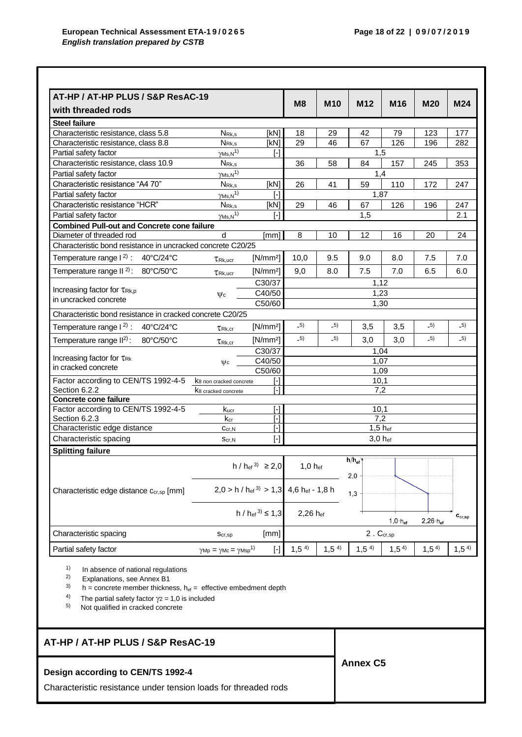| AT-HP / AT-HP PLUS / S&P ResAC-19                           |                                                        |                                                                                                                                                                                                                                                                                                                                                                                                                                                                                                                                                                                                                                                                                                                                                                                  | M <sub>8</sub>   | <b>M10</b>       | M <sub>12</sub>                       | M16              | <b>M20</b>       | M24                         |
|-------------------------------------------------------------|--------------------------------------------------------|----------------------------------------------------------------------------------------------------------------------------------------------------------------------------------------------------------------------------------------------------------------------------------------------------------------------------------------------------------------------------------------------------------------------------------------------------------------------------------------------------------------------------------------------------------------------------------------------------------------------------------------------------------------------------------------------------------------------------------------------------------------------------------|------------------|------------------|---------------------------------------|------------------|------------------|-----------------------------|
| with threaded rods                                          |                                                        |                                                                                                                                                                                                                                                                                                                                                                                                                                                                                                                                                                                                                                                                                                                                                                                  |                  |                  |                                       |                  |                  |                             |
| <b>Steel failure</b>                                        |                                                        |                                                                                                                                                                                                                                                                                                                                                                                                                                                                                                                                                                                                                                                                                                                                                                                  |                  |                  |                                       |                  |                  |                             |
| Characteristic resistance, class 5.8                        | N <sub>Rk,s</sub>                                      | [kN]                                                                                                                                                                                                                                                                                                                                                                                                                                                                                                                                                                                                                                                                                                                                                                             | 18               | 29               | 42                                    | 79               | 123              | 177                         |
| Characteristic resistance, class 8.8                        | $N_{\rm Rk,s}$                                         | [kN]                                                                                                                                                                                                                                                                                                                                                                                                                                                                                                                                                                                                                                                                                                                                                                             | 29               | 46               | 67                                    | 126              | 196              | 282                         |
| Partial safety factor                                       | $\gamma$ Ms, N <sup>1)</sup>                           | $\lbrack - \rbrack$                                                                                                                                                                                                                                                                                                                                                                                                                                                                                                                                                                                                                                                                                                                                                              |                  |                  |                                       | 1,5              |                  |                             |
| Characteristic resistance, class 10.9                       | $N_{\mathsf{Rk},s}$                                    |                                                                                                                                                                                                                                                                                                                                                                                                                                                                                                                                                                                                                                                                                                                                                                                  | 36               | 58               | 84                                    | 157              | 245              | 353                         |
| Partial safety factor                                       | $\underline{\gamma_{MS,N}}^{1)}$                       |                                                                                                                                                                                                                                                                                                                                                                                                                                                                                                                                                                                                                                                                                                                                                                                  |                  |                  |                                       | 1.4              |                  |                             |
| Characteristic resistance "A4 70"                           | $N_{\mathsf{Rk},s}$                                    | [kN]                                                                                                                                                                                                                                                                                                                                                                                                                                                                                                                                                                                                                                                                                                                                                                             | 26               | 41               | 59                                    | 110              | 172              | 247                         |
| Partial safety factor                                       | $\frac{\gamma_{\text{MS,N}}}{\gamma}$                  | $\lceil - \rceil$                                                                                                                                                                                                                                                                                                                                                                                                                                                                                                                                                                                                                                                                                                                                                                |                  |                  |                                       | 1,87             |                  |                             |
| Characteristic resistance "HCR"                             | $N_{\mathsf{Rk},s}$                                    | [kN]                                                                                                                                                                                                                                                                                                                                                                                                                                                                                                                                                                                                                                                                                                                                                                             | 29               | 46               | 67                                    | 126              | 196              | 247                         |
| Partial safety factor                                       | $\gamma$ <sub>Ms</sub> , $\overline{N}$ <sup>1)</sup>  | r-1                                                                                                                                                                                                                                                                                                                                                                                                                                                                                                                                                                                                                                                                                                                                                                              |                  |                  | 1,5                                   |                  |                  | 2.1                         |
| <b>Combined Pull-out and Concrete cone failure</b>          |                                                        |                                                                                                                                                                                                                                                                                                                                                                                                                                                                                                                                                                                                                                                                                                                                                                                  |                  |                  |                                       |                  |                  |                             |
| Diameter of threaded rod                                    | d                                                      | [mm]                                                                                                                                                                                                                                                                                                                                                                                                                                                                                                                                                                                                                                                                                                                                                                             | 8                | 10               | 12                                    | 16               | 20               | 24                          |
| Characteristic bond resistance in uncracked concrete C20/25 |                                                        |                                                                                                                                                                                                                                                                                                                                                                                                                                                                                                                                                                                                                                                                                                                                                                                  |                  |                  |                                       |                  |                  |                             |
| Temperature range $1^2$ : 40°C/24°C                         | $T_{\rm Rk, ucr}$                                      | [N/mm <sup>2</sup> ]                                                                                                                                                                                                                                                                                                                                                                                                                                                                                                                                                                                                                                                                                                                                                             | 10,0             | 9.5              | 9.0                                   | 8.0              | 7.5              | 7.0                         |
| Temperature range II $^{2)}$ : 80°C/50°C                    | $T_{\mathsf{Rk},\mathsf{ucr}}$                         | $[N/mm^2]$                                                                                                                                                                                                                                                                                                                                                                                                                                                                                                                                                                                                                                                                                                                                                                       | 9,0              | 8.0              | $7.5\,$                               | 7.0              | 6.5              | 6.0                         |
|                                                             |                                                        | C30/37                                                                                                                                                                                                                                                                                                                                                                                                                                                                                                                                                                                                                                                                                                                                                                           |                  |                  |                                       | 1,12             |                  |                             |
| Increasing factor for TRk.p                                 | $\psi$ c                                               | 1,23                                                                                                                                                                                                                                                                                                                                                                                                                                                                                                                                                                                                                                                                                                                                                                             |                  |                  |                                       |                  |                  |                             |
| in uncracked concrete                                       |                                                        |                                                                                                                                                                                                                                                                                                                                                                                                                                                                                                                                                                                                                                                                                                                                                                                  |                  |                  | 1,30                                  |                  |                  |                             |
| Characteristic bond resistance in cracked concrete C20/25   |                                                        | C50/60                                                                                                                                                                                                                                                                                                                                                                                                                                                                                                                                                                                                                                                                                                                                                                           |                  |                  |                                       |                  |                  |                             |
| Temperature range $1^2$ : 40°C/24°C                         | $\tau_{\text{Rk,cr}}$                                  | [N/mm <sup>2</sup> ]                                                                                                                                                                                                                                                                                                                                                                                                                                                                                                                                                                                                                                                                                                                                                             | $-5)$            | $-5)$            | 3,5                                   | 3,5              | $-5)$            | $-5)$                       |
| Temperature range II <sup>2)</sup> :<br>80°C/50°C           |                                                        | $[N/mm^2]$                                                                                                                                                                                                                                                                                                                                                                                                                                                                                                                                                                                                                                                                                                                                                                       | $-5)$            | $-5)$            | 3,0                                   | 3,0              | $-5)$            | $-5)$                       |
|                                                             | $\tau_{\text{Rk}$ .cr                                  |                                                                                                                                                                                                                                                                                                                                                                                                                                                                                                                                                                                                                                                                                                                                                                                  |                  |                  |                                       |                  |                  |                             |
| Increasing factor for TRK                                   |                                                        | C30/37<br>C40/50                                                                                                                                                                                                                                                                                                                                                                                                                                                                                                                                                                                                                                                                                                                                                                 |                  |                  |                                       | 1,04             |                  |                             |
| in cracked concrete                                         | $\psi$ c                                               | C50/60                                                                                                                                                                                                                                                                                                                                                                                                                                                                                                                                                                                                                                                                                                                                                                           |                  |                  |                                       | 1,07<br>1,09     |                  |                             |
| Factor according to CEN/TS 1992-4-5                         | K <sub>8</sub> non cracked concrete                    | H                                                                                                                                                                                                                                                                                                                                                                                                                                                                                                                                                                                                                                                                                                                                                                                |                  |                  |                                       | 10,1             |                  |                             |
| Section 6.2.2                                               | K <sub>8</sub> cracked concrete                        | $\lceil - \rceil$                                                                                                                                                                                                                                                                                                                                                                                                                                                                                                                                                                                                                                                                                                                                                                |                  |                  |                                       | 7,2              |                  |                             |
| <b>Concrete cone failure</b>                                |                                                        |                                                                                                                                                                                                                                                                                                                                                                                                                                                                                                                                                                                                                                                                                                                                                                                  |                  |                  |                                       |                  |                  |                             |
| Factor according to CEN/TS 1992-4-5                         | kucr                                                   | $[ - ]$                                                                                                                                                                                                                                                                                                                                                                                                                                                                                                                                                                                                                                                                                                                                                                          |                  |                  |                                       | 10,1             |                  |                             |
| Section 6.2.3                                               | $k_{cr}$                                               | $[\cdot] % \centering \includegraphics[width=0.9\textwidth]{images/TrDiS/N-Architecture.png} % \caption{The first two different values of $N$ in the \mbox{thick model} and the second two different values of $N$ in the \mbox{thick model} and the second two different values of $N$ in the \mbox{thick model} and the second two different values of $N$ in the \mbox{thick model} and the second two different values of $N$ in the \mbox{thick model} and the second two different values of $N$ in the \mbox{thick model} and the third two different values of $N$ in the \mbox{thick model} and the third two different values of $N$ in the \mbox{thick model} and the third two different values of $N$ in the \mbox{thick model} and the third two different values$ |                  |                  |                                       | $\overline{7,2}$ |                  |                             |
| Characteristic edge distance                                | Ccr, N                                                 | $\lbrack - \rbrack$                                                                                                                                                                                                                                                                                                                                                                                                                                                                                                                                                                                                                                                                                                                                                              |                  |                  |                                       | 1,5 hef          |                  |                             |
| Characteristic spacing                                      | Scr,N                                                  | $[\cdot]$                                                                                                                                                                                                                                                                                                                                                                                                                                                                                                                                                                                                                                                                                                                                                                        |                  |                  |                                       | 3,0 hef          |                  |                             |
| <b>Splitting failure</b>                                    |                                                        |                                                                                                                                                                                                                                                                                                                                                                                                                                                                                                                                                                                                                                                                                                                                                                                  |                  |                  |                                       |                  |                  |                             |
|                                                             |                                                        |                                                                                                                                                                                                                                                                                                                                                                                                                                                                                                                                                                                                                                                                                                                                                                                  |                  |                  | $\mathsf{h}/\mathsf{h}_{\mathsf{ef}}$ |                  |                  |                             |
|                                                             |                                                        | $h / h_{ef}^{3} \ge 2.0$                                                                                                                                                                                                                                                                                                                                                                                                                                                                                                                                                                                                                                                                                                                                                         | $1,0$ hef        |                  | 2,0                                   |                  |                  |                             |
|                                                             |                                                        |                                                                                                                                                                                                                                                                                                                                                                                                                                                                                                                                                                                                                                                                                                                                                                                  |                  |                  |                                       |                  |                  |                             |
| Characteristic edge distance Ccr,sp [mm]                    |                                                        | $2,0 > h / h_{\text{ef}}^{3} > 1,3$                                                                                                                                                                                                                                                                                                                                                                                                                                                                                                                                                                                                                                                                                                                                              | 4,6 hef - 1,8 h  |                  | 1,3                                   |                  |                  |                             |
|                                                             |                                                        |                                                                                                                                                                                                                                                                                                                                                                                                                                                                                                                                                                                                                                                                                                                                                                                  |                  |                  |                                       |                  |                  |                             |
|                                                             |                                                        | h / $h_{\text{ef}}^{3} \le 1.3$                                                                                                                                                                                                                                                                                                                                                                                                                                                                                                                                                                                                                                                                                                                                                  | 2,26 hef         |                  |                                       |                  |                  | $\mathbf{c}_{\text{cr,sp}}$ |
|                                                             |                                                        |                                                                                                                                                                                                                                                                                                                                                                                                                                                                                                                                                                                                                                                                                                                                                                                  |                  |                  | $2,26 \cdot h_{ef}$<br>$1,0 h_{ef}$   |                  |                  |                             |
| Characteristic spacing                                      | Scr, sp                                                | [mm]                                                                                                                                                                                                                                                                                                                                                                                                                                                                                                                                                                                                                                                                                                                                                                             |                  |                  |                                       | $2.$ $C_{cr,sp}$ |                  |                             |
| Partial safety factor                                       | $\gamma$ Mp = $\gamma$ Mc = $\gamma$ Msp <sup>1)</sup> | $[\cdot] % \centering \includegraphics[width=0.9\textwidth]{images/TrDiS/N-Architecture.png} % \caption{The first two different values of $N$ in the \mbox{thick model} and the second two different values of $N$ in the \mbox{thick model} and the second two different values of $N$ in the \mbox{thick model} and the second two different values of $N$ in the \mbox{thick model} and the second two different values of $N$ in the \mbox{thick model} and the second two different values of $N$ in the \mbox{thick model} and the third two different values of $N$ in the \mbox{thick model} and the third two different values of $N$ in the \mbox{thick model} and the third two different values of $N$ in the \mbox{thick model} and the third two different values$ | 1,5 <sup>4</sup> | 1,5 <sup>4</sup> | 1,5 <sup>4</sup>                      | 1,5 <sup>4</sup> | 1,5 <sup>4</sup> | 1,5 <sup>4</sup>            |
|                                                             |                                                        |                                                                                                                                                                                                                                                                                                                                                                                                                                                                                                                                                                                                                                                                                                                                                                                  |                  |                  |                                       |                  |                  |                             |

<sup>4)</sup> The partial safety factor  $\gamma_2 = 1.0$  is included

5) Not qualified in cracked concrete

## **AT-HP / AT-HP PLUS / S&P ResAC-19**

## **Design according to CEN/TS 1992-4**

Characteristic resistance under tension loads for threaded rods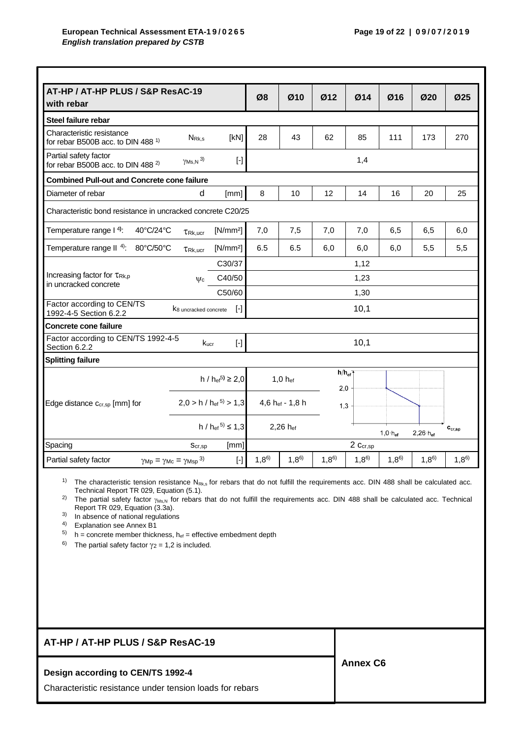| AT-HP / AT-HP PLUS / S&P ResAC-19                                                            |                                   |                                     |           |                 |                          |           |                    |                     |                             |  |
|----------------------------------------------------------------------------------------------|-----------------------------------|-------------------------------------|-----------|-----------------|--------------------------|-----------|--------------------|---------------------|-----------------------------|--|
| with rebar                                                                                   |                                   |                                     | Ø8        | Ø10             | Ø12                      | Ø14       | Ø16                | Ø20                 | Ø25                         |  |
| Steel failure rebar                                                                          |                                   |                                     |           |                 |                          |           |                    |                     |                             |  |
| Characteristic resistance<br>for rebar B500B acc. to DIN 488 <sup>1)</sup>                   | $N_{\mathsf{Rk},s}$               | [KN]                                | 28        | 43              | 62                       | 85        | 111                | 173                 | 270                         |  |
| Partial safety factor<br>for rebar B500B acc. to DIN 488 <sup>2)</sup>                       | $\gamma$ Ms, N $^{3)}$            | $[\cdot]$                           |           |                 |                          | 1,4       |                    |                     |                             |  |
| <b>Combined Pull-out and Concrete cone failure</b>                                           |                                   |                                     |           |                 |                          |           |                    |                     |                             |  |
| Diameter of rebar                                                                            | d                                 | [mm]                                | 8         | 10              | 12                       | 14        | 16                 | 20                  | 25                          |  |
| Characteristic bond resistance in uncracked concrete C20/25                                  |                                   |                                     |           |                 |                          |           |                    |                     |                             |  |
| Temperature range I <sup>4</sup> :<br>40°C/24°C                                              | $TRk,$ ucr                        | [N/mm <sup>2</sup> ]                | 7,0       | 7,5             | 7,0                      | 7,0       | 6,5                | 6,5                 | 6,0                         |  |
| Temperature range $II$ <sup>4)</sup> :<br>80°C/50°C                                          | TRk.ucr                           | $[N/mm^2]$                          | 6.5       | 6.5             | 6,0                      | 6,0       | 6,0                | 5,5                 | 5,5                         |  |
|                                                                                              |                                   | C30/37                              |           |                 |                          | 1,12      |                    |                     |                             |  |
| Increasing factor for TRk.p<br>in uncracked concrete                                         | $\mathsf{W}_{\mathsf{C}}$         | C40/50                              |           |                 |                          | 1,23      |                    |                     |                             |  |
|                                                                                              |                                   | C50/60                              |           |                 |                          | 1,30      |                    |                     |                             |  |
| Factor according to CEN/TS<br>1992-4-5 Section 6.2.2                                         | K <sub>8</sub> uncracked concrete | $[\cdot]$                           | 10,1      |                 |                          |           |                    |                     |                             |  |
| <b>Concrete cone failure</b>                                                                 |                                   |                                     |           |                 |                          |           |                    |                     |                             |  |
| Factor according to CEN/TS 1992-4-5<br>Section 6.2.2                                         | Kucr                              | $[\cdot]$                           |           |                 |                          | 10,1      |                    |                     |                             |  |
| <b>Splitting failure</b>                                                                     |                                   |                                     |           |                 |                          |           |                    |                     |                             |  |
|                                                                                              |                                   | h / $h_{\text{ef}}^{5}$ $\geq 2.0$  |           | $1,0$ hef       | $h/h_{\text{ef}}$<br>2,0 |           |                    |                     |                             |  |
| Edge distance Ccr,sp [mm] for                                                                |                                   | $2,0 > h / h_{\text{ef}}^{5} > 1,3$ |           | 4,6 hef - 1,8 h | 1,3                      |           |                    |                     |                             |  |
|                                                                                              |                                   | $h / h_{\text{ef}}^{5} \leq 1.3$    |           | 2,26 hef        |                          |           | $1,0 \cdot h_{ef}$ | $2,26 \cdot h_{ef}$ | $\mathbf{c}_{\text{cr,sp}}$ |  |
| Spacing                                                                                      | Scr, sp                           | [mm]                                | 2 Ccr,sp  |                 |                          |           |                    |                     |                             |  |
| Partial safety factor<br>$\gamma_{\text{Mp}} = \gamma_{\text{Mc}} = \gamma_{\text{Msp}}^{3}$ |                                   | $[\cdot]$                           | $1,8^{6}$ | $1,8^{6}$       | $1,8^{6}$                | $1,8^{6}$ | $1,8^{6}$          | $1,8^{6}$           | $1,8^{6}$                   |  |

 $1)$  The characteristic tension resistance N<sub>Rk,s</sub> for rebars that do not fulfill the requirements acc. DIN 488 shall be calculated acc. Technical Report TR 029, Equation (5.1).

<sup>2)</sup> The partial safety factor  $\gamma_{Ms,N}$  for rebars that do not fulfill the requirements acc. DIN 488 shall be calculated acc. Technical Report TR 029, Equation (3.3a).

3) In absence of national regulations

4) Explanation see Annex B1

 $5)$  h = concrete member thickness,  $h_{ef}$  = effective embedment depth

<sup>6)</sup> The partial safety factor  $\gamma_2 = 1,2$  is included.

| AT-HP / AT-HP PLUS / S&P ResAC-19                        |                 |
|----------------------------------------------------------|-----------------|
| Design according to CEN/TS 1992-4                        | <b>Annex C6</b> |
| Characteristic resistance under tension loads for rebars |                 |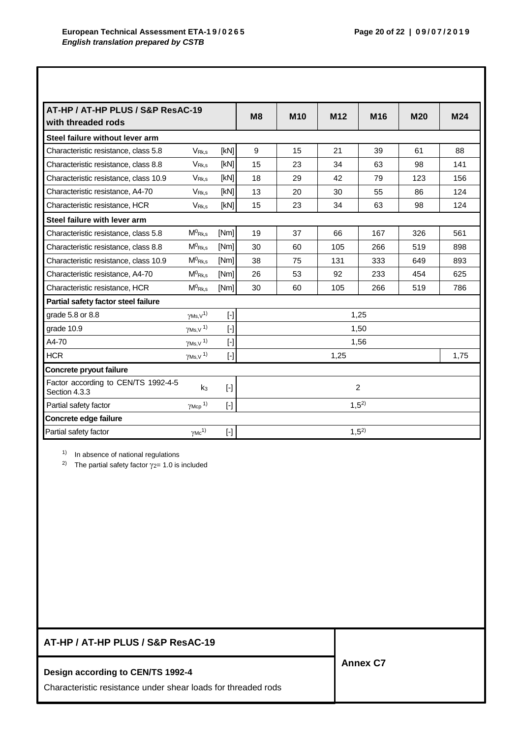| AT-HP / AT-HP PLUS / S&P ResAC-19<br>with threaded rods |                              |           | M <sub>8</sub> | <b>M10</b> | M <sub>12</sub> | M <sub>16</sub> | <b>M20</b> | M24  |
|---------------------------------------------------------|------------------------------|-----------|----------------|------------|-----------------|-----------------|------------|------|
| Steel failure without lever arm                         |                              |           |                |            |                 |                 |            |      |
| Characteristic resistance, class 5.8                    | V <sub>Rk,s</sub>            | [KN]      | 9              | 15         | 21              | 39              | 61         | 88   |
| Characteristic resistance, class 8.8                    | V <sub>Rk.s</sub>            | [kN]      | 15             | 23         | 34              | 63              | 98         | 141  |
| Characteristic resistance, class 10.9                   | V <sub>Rk.s</sub>            | [KN]      | 18             | 29         | 42              | 79              | 123        | 156  |
| Characteristic resistance, A4-70                        | V <sub>Rk.s</sub>            | [kN]      | 13             | 20         | 30              | 55              | 86         | 124  |
| Characteristic resistance, HCR                          | V <sub>Rk.s</sub>            | [kN]      | 15             | 23         | 34              | 63              | 98         | 124  |
| Steel failure with lever arm                            |                              |           |                |            |                 |                 |            |      |
| Characteristic resistance, class 5.8                    | $M^0$ <sub>Rk.s</sub>        | [Nm]      | 19             | 37         | 66              | 167             | 326        | 561  |
| Characteristic resistance, class 8.8                    | $M^0$ Rk,s                   | [Nm]      | 30             | 60         | 105             | 266             | 519        | 898  |
| Characteristic resistance, class 10.9                   | $M^0$ <sub>Rk.s</sub>        | [Nm]      | 38             | 75         | 131             | 333             | 649        | 893  |
| Characteristic resistance, A4-70                        | $M^0$ <sub>Rk,s</sub>        | [Nm]      | 26             | 53         | 92              | 233             | 454        | 625  |
| Characteristic resistance, HCR                          | $M^0$ Rk,s                   | [Nm]      | 30             | 60         | 105             | 266             | 519        | 786  |
| Partial safety factor steel failure                     |                              |           |                |            |                 |                 |            |      |
| grade 5.8 or 8.8                                        | $\gamma$ Ms, $\sqrt{1}$      | $[\cdot]$ |                |            |                 | 1,25            |            |      |
| grade 10.9                                              | $\gamma$ Ms, V $^{1)}$       |           |                |            |                 | 1,50            |            |      |
| A4-70                                                   | $\gamma$ Ms, V <sup>1)</sup> |           |                |            |                 | 1,56            |            |      |
| <b>HCR</b>                                              | $\gamma$ Ms, V <sup>1)</sup> | $[\cdot]$ |                |            | 1,25            |                 |            | 1,75 |
| Concrete pryout failure                                 |                              |           |                |            |                 |                 |            |      |
| Factor according to CEN/TS 1992-4-5<br>Section 4.3.3    | k <sub>3</sub>               | $[$       | 2              |            |                 |                 |            |      |
| Partial safety factor                                   | $\gamma$ Mcp <sup>1)</sup>   | $[\cdot]$ |                |            |                 | $1,5^{2}$       |            |      |
| Concrete edge failure                                   |                              |           |                |            |                 |                 |            |      |
| Partial safety factor                                   | $\gamma$ Mc <sup>1)</sup>    |           |                |            |                 | $1,5^{2}$       |            |      |

1) In absence of national regulations

<sup>2)</sup> The partial safety factor  $\gamma$ <sub>2</sub> = 1.0 is included

| AT-HP / AT-HP PLUS / S&P ResAC-19                             |                 |
|---------------------------------------------------------------|-----------------|
| Design according to CEN/TS 1992-4                             | <b>Annex C7</b> |
| Characteristic resistance under shear loads for threaded rods |                 |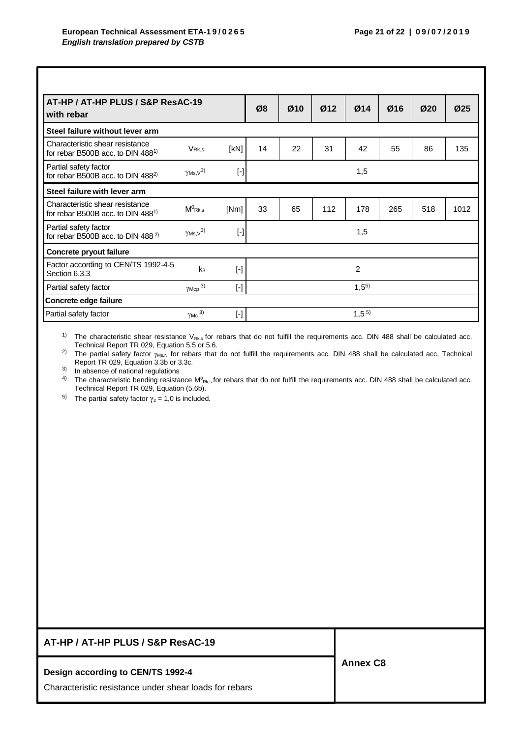| AT-HP / AT-HP PLUS / S&P ResAC-19<br>with rebar                                  |                       |           |           | Ø10 | Ø12 | Ø14       | Ø16 | Ø20 | Ø <sub>25</sub> |
|----------------------------------------------------------------------------------|-----------------------|-----------|-----------|-----|-----|-----------|-----|-----|-----------------|
| Steel failure without lever arm                                                  |                       |           |           |     |     |           |     |     |                 |
| Characteristic shear resistance<br>for rebar B500B acc. to DIN 488 <sup>1)</sup> | V <sub>Rk,s</sub>     | [KN]      | 14        | 22  | 31  | 42        | 55  | 86  | 135             |
| Partial safety factor<br>for rebar B500B acc. to DIN 488 <sup>2)</sup>           | $\gamma$ Ms, $v^{3}$  | $[\cdot]$ |           |     |     | 1,5       |     |     |                 |
| Steel failure with lever arm                                                     |                       |           |           |     |     |           |     |     |                 |
| Characteristic shear resistance<br>for rebar B500B acc. to DIN 488 <sup>1)</sup> | $M^0$ <sub>Rk,s</sub> | [Nm]      | 33        | 65  | 112 | 178       | 265 | 518 | 1012            |
| Partial safety factor<br>for rebar B500B acc. to DIN 488 <sup>2)</sup>           | $\gamma$ Ms, $v^{3)}$ | $[\cdot]$ |           |     |     | 1,5       |     |     |                 |
| Concrete pryout failure                                                          |                       |           |           |     |     |           |     |     |                 |
| Factor according to CEN/TS 1992-4-5<br>Section 6.3.3                             | k <sub>3</sub>        | $[\cdot]$ |           |     |     | 2         |     |     |                 |
| Partial safety factor                                                            | $\gamma$ Mcp $^{3)}$  | $[\cdot]$ | $1,5^{5}$ |     |     |           |     |     |                 |
| Concrete edge failure                                                            |                       |           |           |     |     |           |     |     |                 |
| Partial safety factor                                                            | $\gamma$ Mc 3)        | $[\cdot]$ |           |     |     | $1,5^{5}$ |     |     |                 |

<sup>1)</sup> The characteristic shear resistance  $V_{Rk,s}$  for rebars that do not fulfill the requirements acc. DIN 488 shall be calculated acc. Technical Report TR 029, Equation 5.5 or 5.6.

<sup>2)</sup> The partial safety factor <sub>YMS,N</sub> for rebars that do not fulfill the requirements acc. DIN 488 shall be calculated acc. Technical Report TR 029, Equation 3.3b or 3.3c.

3) In absence of national regulations

<sup>4)</sup> The characteristic bending resistance M<sup>o</sup><sub>Rk,s</sub> for rebars that do not fulfill the requirements acc. DIN 488 shall be calculated acc. Technical Report TR 029, Equation (5.6b).

<sup>5)</sup> The partial safety factor  $\gamma_2 = 1,0$  is included.

## **AT-HP / AT-HP PLUS / S&P ResAC-19**

#### **Design according to CEN/TS 1992-4**

Characteristic resistance under shear loads for rebars